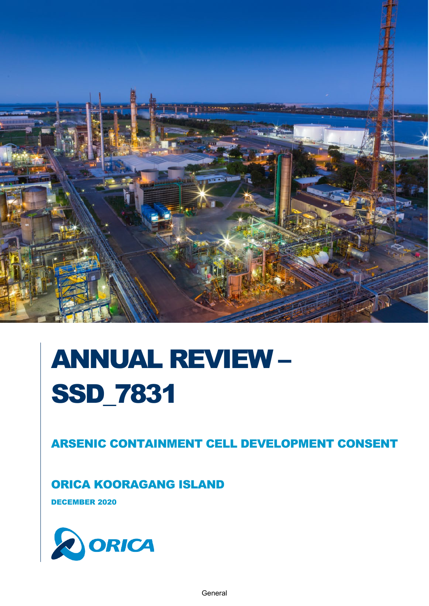

# ANNUAL REVIEW – SSD\_7831

ARSENIC CONTAINMENT CELL DEVELOPMENT CONSENT

ORICA KOORAGANG ISLAND

DECEMBER 2020

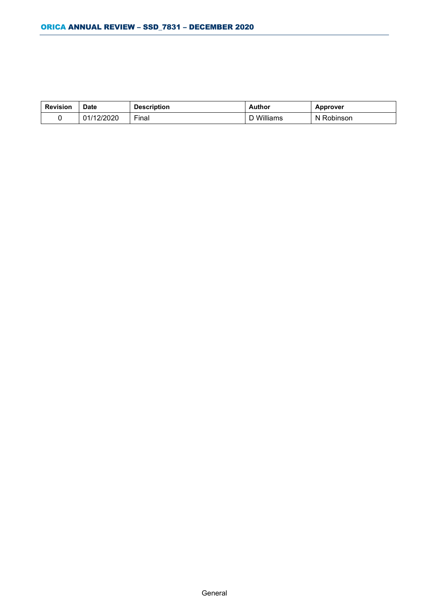| <b>Revision</b> | <b>Date</b> | <b>Description</b> | Author        | <b>Approver</b> |
|-----------------|-------------|--------------------|---------------|-----------------|
|                 | 01/12/2020  | Final              | Williams<br>υ | Robinson<br>N.  |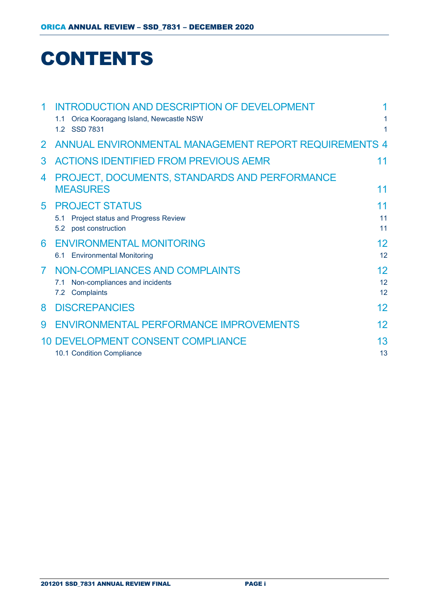## **CONTENTS**

| 1              | <b>INTRODUCTION AND DESCRIPTION OF DEVELOPMENT</b>    |                   |
|----------------|-------------------------------------------------------|-------------------|
|                | Orica Kooragang Island, Newcastle NSW<br>$1.1 -$      | 1                 |
|                | 1.2 SSD 7831                                          | 1                 |
| 2 <sup>1</sup> | ANNUAL ENVIRONMENTAL MANAGEMENT REPORT REQUIREMENTS 4 |                   |
| 3              | <b>ACTIONS IDENTIFIED FROM PREVIOUS AEMR</b>          | 11                |
| 4              | PROJECT, DOCUMENTS, STANDARDS AND PERFORMANCE         |                   |
|                | <b>MEASURES</b>                                       | 11                |
| 5              | <b>PROJECT STATUS</b>                                 | 11                |
|                | Project status and Progress Review<br>5.1             | 11                |
|                | 5.2 post construction                                 | 11                |
| 6              | <b>ENVIRONMENTAL MONITORING</b>                       | 12                |
|                | 6.1 Environmental Monitoring                          | 12                |
| $\overline{7}$ | NON-COMPLIANCES AND COMPLAINTS                        | 12                |
|                | Non-compliances and incidents<br>7.1                  | 12                |
|                | 7.2 Complaints                                        | 12                |
| 8              | <b>DISCREPANCIES</b>                                  | $12 \overline{ }$ |
| 9              | ENVIRONMENTAL PERFORMANCE IMPROVEMENTS                | 12                |
|                | 10 DEVELOPMENT CONSENT COMPLIANCE                     | 13                |
|                | 10.1 Condition Compliance                             | 13                |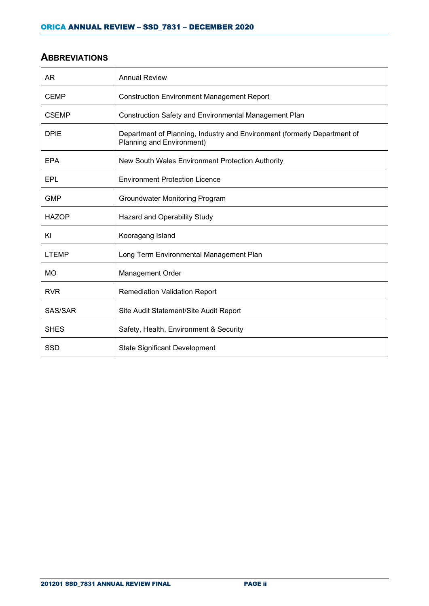#### **ABBREVIATIONS**

| AR           | <b>Annual Review</b>                                                                                  |
|--------------|-------------------------------------------------------------------------------------------------------|
| <b>CEMP</b>  | <b>Construction Environment Management Report</b>                                                     |
| <b>CSEMP</b> | Construction Safety and Environmental Management Plan                                                 |
| <b>DPIE</b>  | Department of Planning, Industry and Environment (formerly Department of<br>Planning and Environment) |
| <b>EPA</b>   | New South Wales Environment Protection Authority                                                      |
| EPL          | <b>Environment Protection Licence</b>                                                                 |
| <b>GMP</b>   | Groundwater Monitoring Program                                                                        |
| <b>HAZOP</b> | Hazard and Operability Study                                                                          |
| ΚI           | Kooragang Island                                                                                      |
| <b>LTEMP</b> | Long Term Environmental Management Plan                                                               |
| <b>MO</b>    | <b>Management Order</b>                                                                               |
| <b>RVR</b>   | <b>Remediation Validation Report</b>                                                                  |
| SAS/SAR      | Site Audit Statement/Site Audit Report                                                                |
| <b>SHES</b>  | Safety, Health, Environment & Security                                                                |
| <b>SSD</b>   | <b>State Significant Development</b>                                                                  |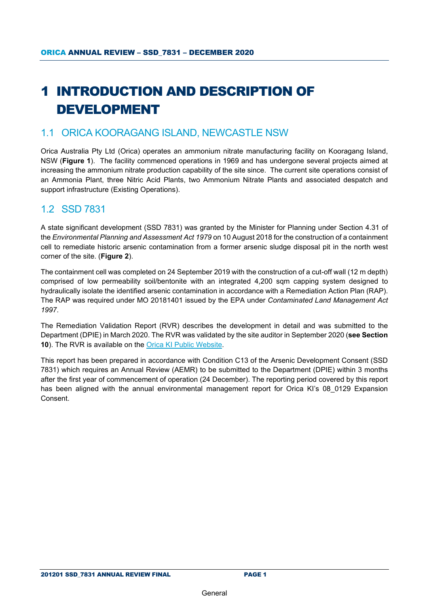## <span id="page-4-0"></span>1 INTRODUCTION AND DESCRIPTION OF DEVELOPMENT

#### <span id="page-4-1"></span>1.1 ORICA KOORAGANG ISLAND, NEWCASTLE NSW

Orica Australia Pty Ltd (Orica) operates an ammonium nitrate manufacturing facility on Kooragang Island, NSW (**[Figure 1](#page-5-0)**). The facility commenced operations in 1969 and has undergone several projects aimed at increasing the ammonium nitrate production capability of the site since. The current site operations consist of an Ammonia Plant, three Nitric Acid Plants, two Ammonium Nitrate Plants and associated despatch and support infrastructure (Existing Operations).

#### <span id="page-4-2"></span>1.2 SSD 7831

A state significant development (SSD 7831) was granted by the Minister for Planning under Section 4.31 of the *Environmental Planning and Assessment Act 1979* on 10 August 2018 for the construction of a containment cell to remediate historic arsenic contamination from a former arsenic sludge disposal pit in the north west corner of the site. (**Figure 2**).

The containment cell was completed on 24 September 2019 with the construction of a cut-off wall (12 m depth) comprised of low permeability soil/bentonite with an integrated 4,200 sqm capping system designed to hydraulically isolate the identified arsenic contamination in accordance with a Remediation Action Plan (RAP). The RAP was required under MO 20181401 issued by the EPA under *Contaminated Land Management Act 1997*.

The Remediation Validation Report (RVR) describes the development in detail and was submitted to the Department (DPIE) in March 2020. The RVR was validated by the site auditor in September 2020 (**see Section 10**). The RVR is available on the [Orica KI Public Website.](https://www.orica.com/Locations/Asia-Pacific/Australia/Kooragang-Island/Operations/Site-Projects#.X7yjuGgzaUk)

This report has been prepared in accordance with Condition C13 of the Arsenic Development Consent (SSD 7831) which requires an Annual Review (AEMR) to be submitted to the Department (DPIE) within 3 months after the first year of commencement of operation (24 December). The reporting period covered by this report has been aligned with the annual environmental management report for Orica KI's 08 0129 Expansion Consent.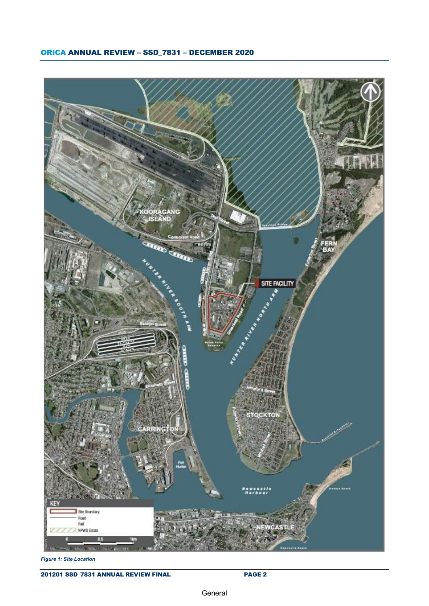#### ORICA ANNUAL REVIEW – SSD\_7831 – DECEMBER 2020



<span id="page-5-0"></span>*Figure 1: Site Location*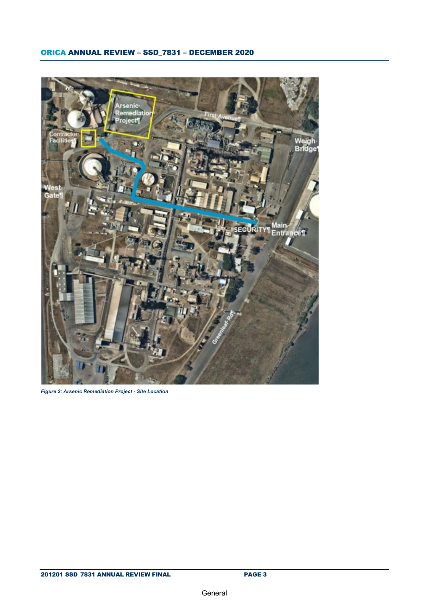

*Figure 2: Arsenic Remediation Project - Site Location*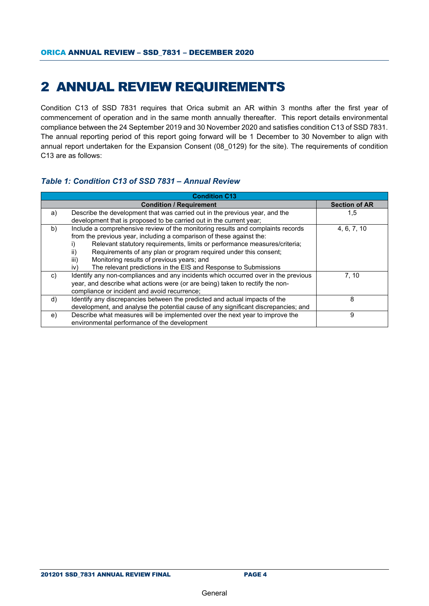## <span id="page-7-0"></span>2 ANNUAL REVIEW REQUIREMENTS

Condition C13 of SSD 7831 requires that Orica submit an AR within 3 months after the first year of commencement of operation and in the same month annually thereafter. This report details environmental compliance between the 24 September 2019 and 30 November 2020 and satisfies condition C13 of SSD 7831. The annual reporting period of this report going forward will be 1 December to 30 November to align with annual report undertaken for the Expansion Consent (08\_0129) for the site). The requirements of condition C13 are as follows:

#### *Table 1: Condition C13 of SSD 7831 – Annual Review*

|    | <b>Condition / Requirement</b>                                                     | <b>Section of AR</b> |
|----|------------------------------------------------------------------------------------|----------------------|
| a) | Describe the development that was carried out in the previous year, and the        | 1,5                  |
|    | development that is proposed to be carried out in the current year;                |                      |
| b) | Include a comprehensive review of the monitoring results and complaints records    | 4, 6, 7, 10          |
|    | from the previous year, including a comparison of these against the:               |                      |
|    | Relevant statutory requirements, limits or performance measures/criteria;          |                      |
|    | Requirements of any plan or program required under this consent;<br>ii)            |                      |
|    | Monitoring results of previous years; and<br>iii)                                  |                      |
|    | The relevant predictions in the EIS and Response to Submissions<br>iv)             |                      |
| C) | Identify any non-compliances and any incidents which occurred over in the previous | 7.10                 |
|    | year, and describe what actions were (or are being) taken to rectify the non-      |                      |
|    | compliance or incident and avoid recurrence;                                       |                      |
| d) | Identify any discrepancies between the predicted and actual impacts of the         | 8                    |
|    | development, and analyse the potential cause of any significant discrepancies; and |                      |
| e) | Describe what measures will be implemented over the next year to improve the       | 9                    |
|    | environmental performance of the development                                       |                      |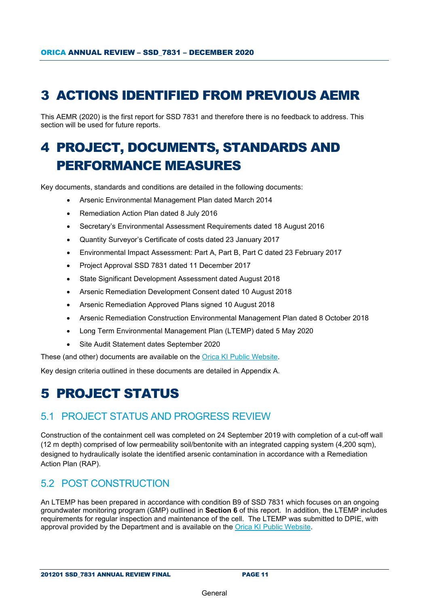## <span id="page-8-0"></span>3 ACTIONS IDENTIFIED FROM PREVIOUS AEMR

This AEMR (2020) is the first report for SSD 7831 and therefore there is no feedback to address. This section will be used for future reports.

## <span id="page-8-1"></span>4 PROJECT, DOCUMENTS, STANDARDS AND PERFORMANCE MEASURES

Key documents, standards and conditions are detailed in the following documents:

- Arsenic Environmental Management Plan dated March 2014
- Remediation Action Plan dated 8 July 2016
- Secretary's Environmental Assessment Requirements dated 18 August 2016
- Quantity Surveyor's Certificate of costs dated 23 January 2017
- Environmental Impact Assessment: Part A, Part B, Part C dated 23 February 2017
- Project Approval SSD 7831 dated 11 December 2017
- State Significant Development Assessment dated August 2018
- Arsenic Remediation Development Consent dated 10 August 2018
- Arsenic Remediation Approved Plans signed 10 August 2018
- Arsenic Remediation Construction Environmental Management Plan dated 8 October 2018
- Long Term Environmental Management Plan (LTEMP) dated 5 May 2020
- Site Audit Statement dates September 2020

These (and other) documents are available on the [Orica KI Public Website.](https://www.orica.com/Locations/Asia-Pacific/Australia/Kooragang-Island/Operations/Site-Projects#.X7yjuGgzaUk)

Key design criteria outlined in these documents are detailed in Appendix A.

## <span id="page-8-2"></span>5 PROJECT STATUS

#### <span id="page-8-3"></span>5.1 PROJECT STATUS AND PROGRESS REVIEW

Construction of the containment cell was completed on 24 September 2019 with completion of a cut-off wall (12 m depth) comprised of low permeability soil/bentonite with an integrated capping system (4,200 sqm), designed to hydraulically isolate the identified arsenic contamination in accordance with a Remediation Action Plan (RAP).

#### <span id="page-8-4"></span>5.2 POST CONSTRUCTION

An LTEMP has been prepared in accordance with condition B9 of SSD 7831 which focuses on an ongoing groundwater monitoring program (GMP) outlined in **Section 6** of this report. In addition, the LTEMP includes requirements for regular inspection and maintenance of the cell. The LTEMP was submitted to DPIE, with approval provided by the Department and is available on the [Orica KI Public Website.](https://www.orica.com/Locations/Asia-Pacific/Australia/Kooragang-Island/Operations/Site-Projects#.X7yjuGgzaUk)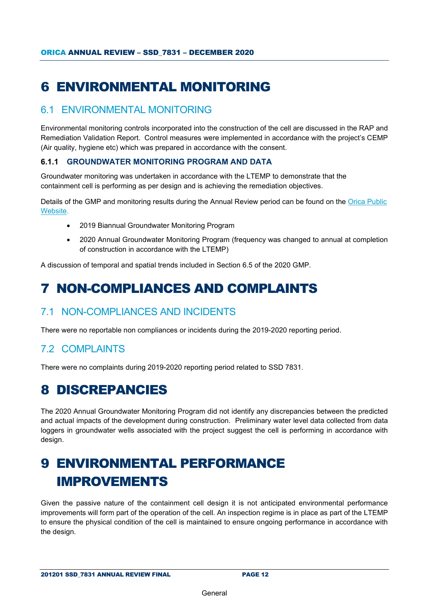## <span id="page-9-0"></span>6 ENVIRONMENTAL MONITORING

#### <span id="page-9-1"></span>6.1 ENVIRONMENTAL MONITORING

Environmental monitoring controls incorporated into the construction of the cell are discussed in the RAP and Remediation Validation Report. Control measures were implemented in accordance with the project's CEMP (Air quality, hygiene etc) which was prepared in accordance with the consent.

#### **6.1.1 GROUNDWATER MONITORING PROGRAM AND DATA**

Groundwater monitoring was undertaken in accordance with the LTEMP to demonstrate that the containment cell is performing as per design and is achieving the remediation objectives.

Details of the GMP and monitoring results during the Annual Review period can be found on the [Orica Public](https://www.orica.com/Locations/Asia-Pacific/Australia/Kooragang-Island/Operations/Site-Projects#.X7yjuGgzaUk)  [Website.](https://www.orica.com/Locations/Asia-Pacific/Australia/Kooragang-Island/Operations/Site-Projects#.X7yjuGgzaUk)

- 2019 Biannual Groundwater Monitoring Program
- 2020 Annual Groundwater Monitoring Program (frequency was changed to annual at completion of construction in accordance with the LTEMP)

A discussion of temporal and spatial trends included in Section 6.5 of the 2020 GMP.

## <span id="page-9-2"></span>7 NON-COMPLIANCES AND COMPLAINTS

#### <span id="page-9-3"></span>7.1 NON-COMPLIANCES AND INCIDENTS

There were no reportable non compliances or incidents during the 2019-2020 reporting period.

#### <span id="page-9-4"></span>7.2 COMPLAINTS

There were no complaints during 2019-2020 reporting period related to SSD 7831.

### <span id="page-9-5"></span>8 DISCREPANCIES

The 2020 Annual Groundwater Monitoring Program did not identify any discrepancies between the predicted and actual impacts of the development during construction. Preliminary water level data collected from data loggers in groundwater wells associated with the project suggest the cell is performing in accordance with design.

## <span id="page-9-6"></span>9 ENVIRONMENTAL PERFORMANCE IMPROVEMENTS

Given the passive nature of the containment cell design it is not anticipated environmental performance improvements will form part of the operation of the cell. An inspection regime is in place as part of the LTEMP to ensure the physical condition of the cell is maintained to ensure ongoing performance in accordance with the design.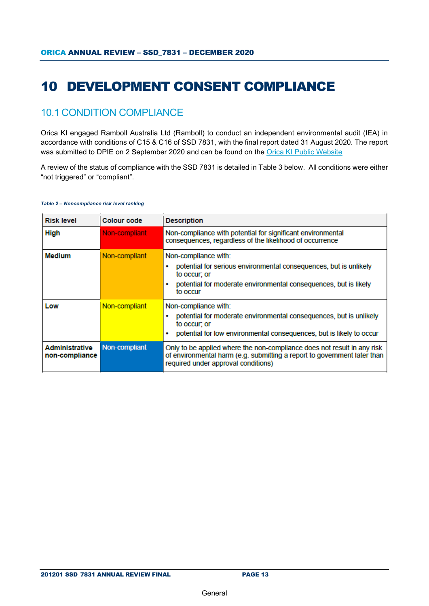## <span id="page-10-0"></span>10 DEVELOPMENT CONSENT COMPLIANCE

#### <span id="page-10-1"></span>10.1 CONDITION COMPLIANCE

Orica KI engaged Ramboll Australia Ltd (Ramboll) to conduct an independent environmental audit (IEA) in accordance with conditions of C15 & C16 of SSD 7831, with the final report dated 31 August 2020. The report was submitted to DPIE on 2 September 2020 and can be found on the [Orica KI Public Website](https://www.orica.com/Locations/Asia-Pacific/Australia/Kooragang-Island/Operations/Site-Projects#.X7yjuGgzaUk)

A review of the status of compliance with the SSD 7831 is detailed in Table 3 below. All conditions were either "not triggered" or "compliant".

#### *Table 2 – Noncompliance risk level ranking*

| <b>Risk level</b>                | <b>Colour code</b> | <b>Description</b>                                                                                                                                                                         |
|----------------------------------|--------------------|--------------------------------------------------------------------------------------------------------------------------------------------------------------------------------------------|
| <b>High</b>                      | Non-compliant      | Non-compliance with potential for significant environmental<br>consequences, regardless of the likelihood of occurrence                                                                    |
| <b>Medium</b>                    | Non-compliant      | Non-compliance with:<br>potential for serious environmental consequences, but is unlikely<br>to occur: or<br>potential for moderate environmental consequences, but is likely<br>to occur  |
| Low                              | Non-compliant      | Non-compliance with:<br>potential for moderate environmental consequences, but is unlikely<br>to occur; or<br>potential for low environmental consequences, but is likely to occur         |
| Administrative<br>non-compliance | Non-compliant      | Only to be applied where the non-compliance does not result in any risk<br>of environmental harm (e.g. submitting a report to government later than<br>required under approval conditions) |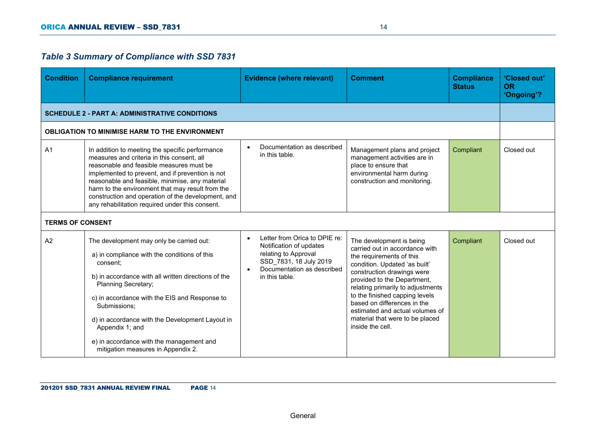#### *Table 3 Summary of Compliance with SSD 7831*

| <b>Condition</b>        | <b>Compliance requirement</b>                                                                                                                                                                                                                                                                                                                                                                                 | <b>Evidence (where relevant)</b>                                                                                                                                        | <b>Comment</b>                                                                                                                                                                                                                                                                                                                                                                       | <b>Compliance</b><br><b>Status</b> | 'Closed out'<br><b>OR</b><br>'Ongoing'? |
|-------------------------|---------------------------------------------------------------------------------------------------------------------------------------------------------------------------------------------------------------------------------------------------------------------------------------------------------------------------------------------------------------------------------------------------------------|-------------------------------------------------------------------------------------------------------------------------------------------------------------------------|--------------------------------------------------------------------------------------------------------------------------------------------------------------------------------------------------------------------------------------------------------------------------------------------------------------------------------------------------------------------------------------|------------------------------------|-----------------------------------------|
|                         | <b>SCHEDULE 2 - PART A: ADMINISTRATIVE CONDITIONS</b>                                                                                                                                                                                                                                                                                                                                                         |                                                                                                                                                                         |                                                                                                                                                                                                                                                                                                                                                                                      |                                    |                                         |
|                         | <b>OBLIGATION TO MINIMISE HARM TO THE ENVIRONMENT</b>                                                                                                                                                                                                                                                                                                                                                         |                                                                                                                                                                         |                                                                                                                                                                                                                                                                                                                                                                                      |                                    |                                         |
| A <sub>1</sub>          | In addition to meeting the specific performance<br>measures and criteria in this consent, all<br>reasonable and feasible measures must be<br>implemented to prevent, and if prevention is not<br>reasonable and feasible, minimise, any material<br>harm to the environment that may result from the<br>construction and operation of the development, and<br>any rehabilitation required under this consent. | Documentation as described<br>$\bullet$<br>in this table.                                                                                                               | Management plans and project<br>management activities are in<br>place to ensure that<br>environmental harm during<br>construction and monitoring.                                                                                                                                                                                                                                    | Compliant                          | Closed out                              |
| <b>TERMS OF CONSENT</b> |                                                                                                                                                                                                                                                                                                                                                                                                               |                                                                                                                                                                         |                                                                                                                                                                                                                                                                                                                                                                                      |                                    |                                         |
| A2                      | The development may only be carried out:<br>a) in compliance with the conditions of this<br>consent;<br>b) in accordance with all written directions of the<br>Planning Secretary;<br>c) in accordance with the EIS and Response to<br>Submissions;<br>d) in accordance with the Development Layout in<br>Appendix 1; and<br>e) in accordance with the management and<br>mitigation measures in Appendix 2.   | Letter from Orica to DPIE re:<br>$\bullet$<br>Notification of updates<br>relating to Approval<br>SSD_7831, 18 July 2019<br>Documentation as described<br>in this table. | The development is being<br>carried out in accordance with<br>the requirements of this<br>condition. Updated 'as built'<br>construction drawings were<br>provided to the Department,<br>relating primarily to adjustments<br>to the finished capping levels<br>based on differences in the<br>estimated and actual volumes of<br>material that were to be placed<br>inside the cell. | Compliant                          | Closed out                              |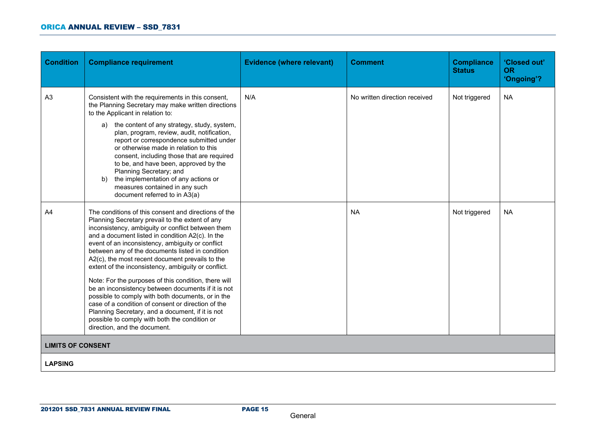#### ORICA ANNUAL REVIEW – SSD\_7831

| <b>Condition</b>         | <b>Compliance requirement</b>                                                                                                                                                                                                                                                                                                                                                                                                                                                                                                                                                                                                                                                                                                                                                                    | <b>Evidence (where relevant)</b> | <b>Comment</b>                | <b>Compliance</b><br><b>Status</b> | 'Closed out'<br><b>OR</b><br>'Ongoing'? |
|--------------------------|--------------------------------------------------------------------------------------------------------------------------------------------------------------------------------------------------------------------------------------------------------------------------------------------------------------------------------------------------------------------------------------------------------------------------------------------------------------------------------------------------------------------------------------------------------------------------------------------------------------------------------------------------------------------------------------------------------------------------------------------------------------------------------------------------|----------------------------------|-------------------------------|------------------------------------|-----------------------------------------|
| A <sub>3</sub>           | Consistent with the requirements in this consent,<br>the Planning Secretary may make written directions<br>to the Applicant in relation to:<br>the content of any strategy, study, system,<br>a)<br>plan, program, review, audit, notification,<br>report or correspondence submitted under<br>or otherwise made in relation to this<br>consent, including those that are required<br>to be, and have been, approved by the<br>Planning Secretary; and<br>the implementation of any actions or<br>b)<br>measures contained in any such<br>document referred to in A3(a)                                                                                                                                                                                                                          | N/A                              | No written direction received | Not triggered                      | <b>NA</b>                               |
| A <sub>4</sub>           | The conditions of this consent and directions of the<br>Planning Secretary prevail to the extent of any<br>inconsistency, ambiguity or conflict between them<br>and a document listed in condition A2(c). In the<br>event of an inconsistency, ambiguity or conflict<br>between any of the documents listed in condition<br>A2(c), the most recent document prevails to the<br>extent of the inconsistency, ambiguity or conflict.<br>Note: For the purposes of this condition, there will<br>be an inconsistency between documents if it is not<br>possible to comply with both documents, or in the<br>case of a condition of consent or direction of the<br>Planning Secretary, and a document, if it is not<br>possible to comply with both the condition or<br>direction, and the document. |                                  | <b>NA</b>                     | Not triggered                      | <b>NA</b>                               |
| <b>LIMITS OF CONSENT</b> |                                                                                                                                                                                                                                                                                                                                                                                                                                                                                                                                                                                                                                                                                                                                                                                                  |                                  |                               |                                    |                                         |
| <b>LAPSING</b>           |                                                                                                                                                                                                                                                                                                                                                                                                                                                                                                                                                                                                                                                                                                                                                                                                  |                                  |                               |                                    |                                         |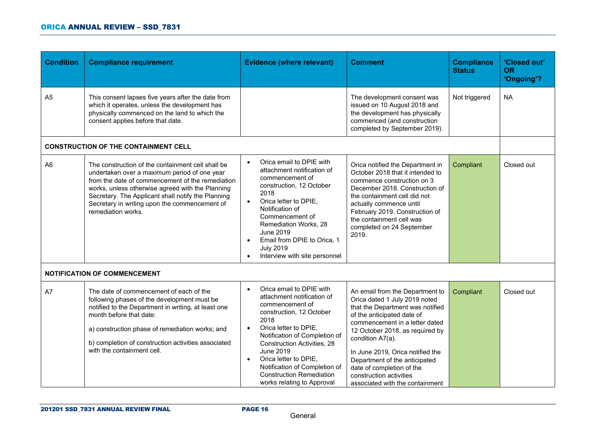| <b>Condition</b> | <b>Compliance requirement</b>                                                                                                                                                                                                                                                                                                          | <b>Evidence (where relevant)</b>                                                                                                                                                                                                                                                                                                                                                                    | <b>Comment</b>                                                                                                                                                                                                                                                                                                                                                                              | <b>Compliance</b><br><b>Status</b> | 'Closed out'<br><b>OR</b><br>'Ongoing'? |
|------------------|----------------------------------------------------------------------------------------------------------------------------------------------------------------------------------------------------------------------------------------------------------------------------------------------------------------------------------------|-----------------------------------------------------------------------------------------------------------------------------------------------------------------------------------------------------------------------------------------------------------------------------------------------------------------------------------------------------------------------------------------------------|---------------------------------------------------------------------------------------------------------------------------------------------------------------------------------------------------------------------------------------------------------------------------------------------------------------------------------------------------------------------------------------------|------------------------------------|-----------------------------------------|
| A <sub>5</sub>   | This consent lapses five years after the date from<br>which it operates, unless the development has<br>physically commenced on the land to which the<br>consent applies before that date.                                                                                                                                              |                                                                                                                                                                                                                                                                                                                                                                                                     | The development consent was<br>issued on 10 August 2018 and<br>the development has physically<br>commenced (and construction<br>completed by September 2019).                                                                                                                                                                                                                               | Not triggered                      | <b>NA</b>                               |
|                  | <b>CONSTRUCTION OF THE CONTAINMENT CELL</b>                                                                                                                                                                                                                                                                                            |                                                                                                                                                                                                                                                                                                                                                                                                     |                                                                                                                                                                                                                                                                                                                                                                                             |                                    |                                         |
| A <sub>6</sub>   | The construction of the containment cell shall be<br>undertaken over a maximum period of one year<br>from the date of commencement of the remediation<br>works, unless otherwise agreed with the Planning<br>Secretary. The Applicant shall notify the Planning<br>Secretary in writing upon the commencement of<br>remediation works. | Orica email to DPIE with<br>$\bullet$<br>attachment notification of<br>commencement of<br>construction, 12 October<br>2018<br>Orica letter to DPIE,<br>$\bullet$<br>Notification of<br>Commencement of<br>Remediation Works, 28<br><b>June 2019</b><br>Email from DPIE to Orica, 1<br>$\bullet$<br><b>July 2019</b><br>Interview with site personnel                                                | Orica notified the Department in<br>October 2018 that it intended to<br>commence construction on 3<br>December 2018. Construction of<br>the containment cell did not<br>actually commence until<br>February 2019. Construction of<br>the containment cell was<br>completed on 24 September<br>2019.                                                                                         | Compliant                          | Closed out                              |
|                  | <b>NOTIFICATION OF COMMENCEMENT</b>                                                                                                                                                                                                                                                                                                    |                                                                                                                                                                                                                                                                                                                                                                                                     |                                                                                                                                                                                                                                                                                                                                                                                             |                                    |                                         |
| A7               | The date of commencement of each of the<br>following phases of the development must be<br>notified to the Department in writing, at least one<br>month before that date:<br>a) construction phase of remediation works; and<br>b) completion of construction activities associated<br>with the containment cell.                       | Orica email to DPIE with<br>$\bullet$<br>attachment notification of<br>commencement of<br>construction, 12 October<br>2018<br>Orica letter to DPIE,<br>$\bullet$<br>Notification of Completion of<br><b>Construction Activities, 28</b><br><b>June 2019</b><br>Orica letter to DPIE,<br>$\bullet$<br>Notification of Completion of<br><b>Construction Remediation</b><br>works relating to Approval | An email from the Department to<br>Orica dated 1 July 2019 noted<br>that the Department was notified<br>of the anticipated date of<br>commencement in a letter dated<br>12 October 2018, as required by<br>condition A7(a).<br>In June 2019, Orica notified the<br>Department of the anticipated<br>date of completion of the<br>construction activities<br>associated with the containment | Compliant                          | Closed out                              |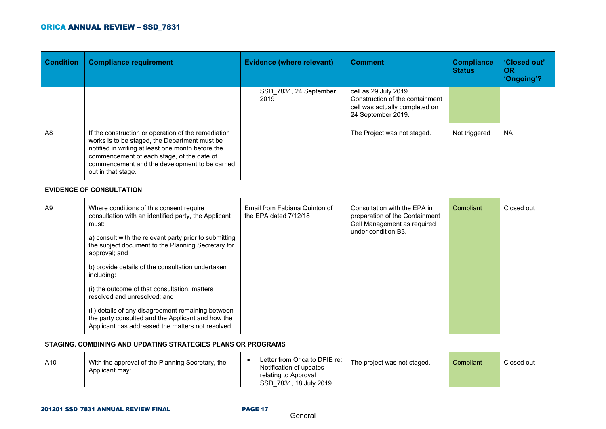| <b>Condition</b> | <b>Compliance requirement</b>                                                                                                                                                                                                                                                                                                                                                                                                                                                                                                                                  | <b>Evidence (where relevant)</b>                                                                                        | <b>Comment</b>                                                                                                       | <b>Compliance</b><br><b>Status</b> | 'Closed out'<br><b>OR</b><br>'Ongoing'? |
|------------------|----------------------------------------------------------------------------------------------------------------------------------------------------------------------------------------------------------------------------------------------------------------------------------------------------------------------------------------------------------------------------------------------------------------------------------------------------------------------------------------------------------------------------------------------------------------|-------------------------------------------------------------------------------------------------------------------------|----------------------------------------------------------------------------------------------------------------------|------------------------------------|-----------------------------------------|
|                  |                                                                                                                                                                                                                                                                                                                                                                                                                                                                                                                                                                | SSD_7831, 24 September<br>2019                                                                                          | cell as 29 July 2019.<br>Construction of the containment<br>cell was actually completed on<br>24 September 2019.     |                                    |                                         |
| A <sub>8</sub>   | If the construction or operation of the remediation<br>works is to be staged, the Department must be<br>notified in writing at least one month before the<br>commencement of each stage, of the date of<br>commencement and the development to be carried<br>out in that stage.                                                                                                                                                                                                                                                                                |                                                                                                                         | The Project was not staged.                                                                                          | Not triggered                      | NA.                                     |
|                  | <b>EVIDENCE OF CONSULTATION</b>                                                                                                                                                                                                                                                                                                                                                                                                                                                                                                                                |                                                                                                                         |                                                                                                                      |                                    |                                         |
| A <sub>9</sub>   | Where conditions of this consent require<br>consultation with an identified party, the Applicant<br>must:<br>a) consult with the relevant party prior to submitting<br>the subject document to the Planning Secretary for<br>approval; and<br>b) provide details of the consultation undertaken<br>including:<br>(i) the outcome of that consultation, matters<br>resolved and unresolved; and<br>(ii) details of any disagreement remaining between<br>the party consulted and the Applicant and how the<br>Applicant has addressed the matters not resolved. | Email from Fabiana Quinton of<br>the EPA dated 7/12/18                                                                  | Consultation with the EPA in<br>preparation of the Containment<br>Cell Management as required<br>under condition B3. | Compliant                          | Closed out                              |
|                  | STAGING, COMBINING AND UPDATING STRATEGIES PLANS OR PROGRAMS                                                                                                                                                                                                                                                                                                                                                                                                                                                                                                   |                                                                                                                         |                                                                                                                      |                                    |                                         |
| A10              | With the approval of the Planning Secretary, the<br>Applicant may:                                                                                                                                                                                                                                                                                                                                                                                                                                                                                             | Letter from Orica to DPIE re:<br>$\bullet$<br>Notification of updates<br>relating to Approval<br>SSD 7831, 18 July 2019 | The project was not staged.                                                                                          | Compliant                          | Closed out                              |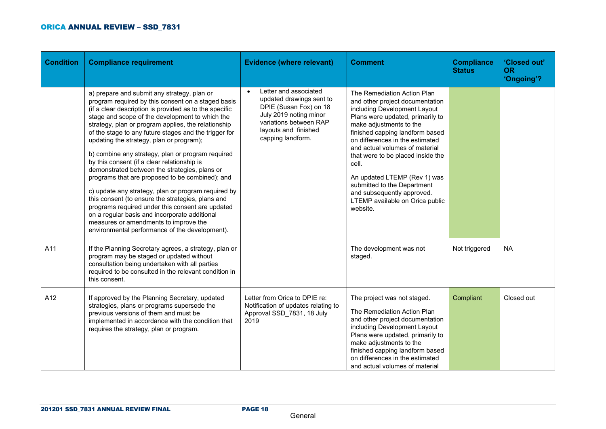| <b>Condition</b> | <b>Compliance requirement</b>                                                                                                                                                                                                                                                                                                                                                                                                                                                                                                                                                                                                                                                                                                                                                                                                                                                                  | <b>Evidence (where relevant)</b>                                                                                                                                                          | <b>Comment</b>                                                                                                                                                                                                                                                                                                                                                                                                                                                  | <b>Compliance</b><br><b>Status</b> | 'Closed out'<br><b>OR</b><br>'Ongoing'? |
|------------------|------------------------------------------------------------------------------------------------------------------------------------------------------------------------------------------------------------------------------------------------------------------------------------------------------------------------------------------------------------------------------------------------------------------------------------------------------------------------------------------------------------------------------------------------------------------------------------------------------------------------------------------------------------------------------------------------------------------------------------------------------------------------------------------------------------------------------------------------------------------------------------------------|-------------------------------------------------------------------------------------------------------------------------------------------------------------------------------------------|-----------------------------------------------------------------------------------------------------------------------------------------------------------------------------------------------------------------------------------------------------------------------------------------------------------------------------------------------------------------------------------------------------------------------------------------------------------------|------------------------------------|-----------------------------------------|
|                  | a) prepare and submit any strategy, plan or<br>program required by this consent on a staged basis<br>(if a clear description is provided as to the specific<br>stage and scope of the development to which the<br>strategy, plan or program applies, the relationship<br>of the stage to any future stages and the trigger for<br>updating the strategy, plan or program);<br>b) combine any strategy, plan or program required<br>by this consent (if a clear relationship is<br>demonstrated between the strategies, plans or<br>programs that are proposed to be combined); and<br>c) update any strategy, plan or program required by<br>this consent (to ensure the strategies, plans and<br>programs required under this consent are updated<br>on a regular basis and incorporate additional<br>measures or amendments to improve the<br>environmental performance of the development). | Letter and associated<br>$\bullet$<br>updated drawings sent to<br>DPIE (Susan Fox) on 18<br>July 2019 noting minor<br>variations between RAP<br>layouts and finished<br>capping landform. | The Remediation Action Plan<br>and other project documentation<br>including Development Layout<br>Plans were updated, primarily to<br>make adjustments to the<br>finished capping landform based<br>on differences in the estimated<br>and actual volumes of material<br>that were to be placed inside the<br>cell.<br>An updated LTEMP (Rev 1) was<br>submitted to the Department<br>and subsequently approved.<br>LTEMP available on Orica public<br>website. |                                    |                                         |
| A11              | If the Planning Secretary agrees, a strategy, plan or<br>program may be staged or updated without<br>consultation being undertaken with all parties<br>required to be consulted in the relevant condition in<br>this consent.                                                                                                                                                                                                                                                                                                                                                                                                                                                                                                                                                                                                                                                                  |                                                                                                                                                                                           | The development was not<br>staged.                                                                                                                                                                                                                                                                                                                                                                                                                              | Not triggered                      | <b>NA</b>                               |
| A12              | If approved by the Planning Secretary, updated<br>strategies, plans or programs supersede the<br>previous versions of them and must be<br>implemented in accordance with the condition that<br>requires the strategy, plan or program.                                                                                                                                                                                                                                                                                                                                                                                                                                                                                                                                                                                                                                                         | Letter from Orica to DPIE re:<br>Notification of updates relating to<br>Approval SSD 7831, 18 July<br>2019                                                                                | The project was not staged.<br>The Remediation Action Plan<br>and other project documentation<br>including Development Layout<br>Plans were updated, primarily to<br>make adjustments to the<br>finished capping landform based<br>on differences in the estimated<br>and actual volumes of material                                                                                                                                                            | Compliant                          | Closed out                              |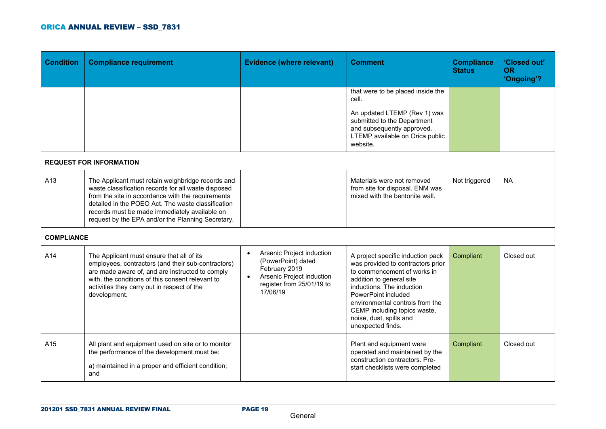| <b>Condition</b>  | <b>Compliance requirement</b>                                                                                                                                                                                                                                                                                             | <b>Evidence (where relevant)</b>                                                                                                                                 | <b>Comment</b>                                                                                                                                                                                                                                                                                           | <b>Compliance</b><br><b>Status</b> | 'Closed out'<br><b>OR</b><br>'Ongoing'? |
|-------------------|---------------------------------------------------------------------------------------------------------------------------------------------------------------------------------------------------------------------------------------------------------------------------------------------------------------------------|------------------------------------------------------------------------------------------------------------------------------------------------------------------|----------------------------------------------------------------------------------------------------------------------------------------------------------------------------------------------------------------------------------------------------------------------------------------------------------|------------------------------------|-----------------------------------------|
|                   |                                                                                                                                                                                                                                                                                                                           |                                                                                                                                                                  | that were to be placed inside the<br>cell.                                                                                                                                                                                                                                                               |                                    |                                         |
|                   |                                                                                                                                                                                                                                                                                                                           |                                                                                                                                                                  | An updated LTEMP (Rev 1) was<br>submitted to the Department<br>and subsequently approved.<br>LTEMP available on Orica public<br>website.                                                                                                                                                                 |                                    |                                         |
|                   | <b>REQUEST FOR INFORMATION</b>                                                                                                                                                                                                                                                                                            |                                                                                                                                                                  |                                                                                                                                                                                                                                                                                                          |                                    |                                         |
| A13               | The Applicant must retain weighbridge records and<br>waste classification records for all waste disposed<br>from the site in accordance with the requirements<br>detailed in the POEO Act. The waste classification<br>records must be made immediately available on<br>request by the EPA and/or the Planning Secretary. |                                                                                                                                                                  | Materials were not removed<br>from site for disposal. ENM was<br>mixed with the bentonite wall.                                                                                                                                                                                                          | Not triggered                      | <b>NA</b>                               |
| <b>COMPLIANCE</b> |                                                                                                                                                                                                                                                                                                                           |                                                                                                                                                                  |                                                                                                                                                                                                                                                                                                          |                                    |                                         |
| A14               | The Applicant must ensure that all of its<br>employees, contractors (and their sub-contractors)<br>are made aware of, and are instructed to comply<br>with, the conditions of this consent relevant to<br>activities they carry out in respect of the<br>development.                                                     | Arsenic Project induction<br>$\bullet$<br>(PowerPoint) dated<br>February 2019<br>Arsenic Project induction<br>$\bullet$<br>register from 25/01/19 to<br>17/06/19 | A project specific induction pack<br>was provided to contractors prior<br>to commencement of works in<br>addition to general site<br>inductions. The induction<br>PowerPoint included<br>environmental controls from the<br>CEMP including topics waste,<br>noise, dust, spills and<br>unexpected finds. | Compliant                          | Closed out                              |
| A15               | All plant and equipment used on site or to monitor<br>the performance of the development must be:<br>a) maintained in a proper and efficient condition;<br>and                                                                                                                                                            |                                                                                                                                                                  | Plant and equipment were<br>operated and maintained by the<br>construction contractors. Pre-<br>start checklists were completed                                                                                                                                                                          | Compliant                          | Closed out                              |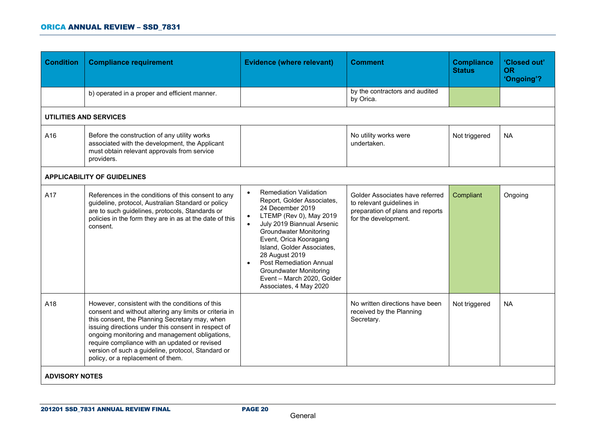| <b>Condition</b>      | <b>Compliance requirement</b>                                                                                                                                                                                                                                                                                                                                                                                    | <b>Evidence (where relevant)</b>                                                                                                                                                                                                                                                                                                                                                                                                   | <b>Comment</b>                                                                                                           | <b>Compliance</b><br><b>Status</b> | 'Closed out'<br><b>OR</b><br>'Ongoing'? |
|-----------------------|------------------------------------------------------------------------------------------------------------------------------------------------------------------------------------------------------------------------------------------------------------------------------------------------------------------------------------------------------------------------------------------------------------------|------------------------------------------------------------------------------------------------------------------------------------------------------------------------------------------------------------------------------------------------------------------------------------------------------------------------------------------------------------------------------------------------------------------------------------|--------------------------------------------------------------------------------------------------------------------------|------------------------------------|-----------------------------------------|
|                       | b) operated in a proper and efficient manner.                                                                                                                                                                                                                                                                                                                                                                    |                                                                                                                                                                                                                                                                                                                                                                                                                                    | by the contractors and audited<br>by Orica.                                                                              |                                    |                                         |
|                       | <b>UTILITIES AND SERVICES</b>                                                                                                                                                                                                                                                                                                                                                                                    |                                                                                                                                                                                                                                                                                                                                                                                                                                    |                                                                                                                          |                                    |                                         |
| A16                   | Before the construction of any utility works<br>associated with the development, the Applicant<br>must obtain relevant approvals from service<br>providers.                                                                                                                                                                                                                                                      |                                                                                                                                                                                                                                                                                                                                                                                                                                    | No utility works were<br>undertaken.                                                                                     | Not triggered                      | <b>NA</b>                               |
|                       | <b>APPLICABILITY OF GUIDELINES</b>                                                                                                                                                                                                                                                                                                                                                                               |                                                                                                                                                                                                                                                                                                                                                                                                                                    |                                                                                                                          |                                    |                                         |
| A17                   | References in the conditions of this consent to any<br>guideline, protocol, Australian Standard or policy<br>are to such guidelines, protocols, Standards or<br>policies in the form they are in as at the date of this<br>consent.                                                                                                                                                                              | <b>Remediation Validation</b><br>$\bullet$<br>Report, Golder Associates,<br>24 December 2019<br>LTEMP (Rev 0), May 2019<br>$\bullet$<br>July 2019 Biannual Arsenic<br>$\bullet$<br><b>Groundwater Monitoring</b><br>Event, Orica Kooragang<br>Island, Golder Associates,<br>28 August 2019<br><b>Post Remediation Annual</b><br>$\bullet$<br><b>Groundwater Monitoring</b><br>Event - March 2020, Golder<br>Associates, 4 May 2020 | Golder Associates have referred<br>to relevant guidelines in<br>preparation of plans and reports<br>for the development. | Compliant                          | Ongoing                                 |
| A18                   | However, consistent with the conditions of this<br>consent and without altering any limits or criteria in<br>this consent, the Planning Secretary may, when<br>issuing directions under this consent in respect of<br>ongoing monitoring and management obligations,<br>require compliance with an updated or revised<br>version of such a guideline, protocol, Standard or<br>policy, or a replacement of them. |                                                                                                                                                                                                                                                                                                                                                                                                                                    | No written directions have been<br>received by the Planning<br>Secretary.                                                | Not triggered                      | <b>NA</b>                               |
| <b>ADVISORY NOTES</b> |                                                                                                                                                                                                                                                                                                                                                                                                                  |                                                                                                                                                                                                                                                                                                                                                                                                                                    |                                                                                                                          |                                    |                                         |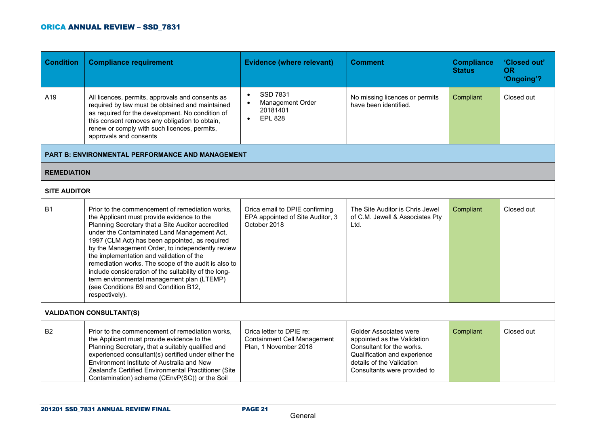| <b>Condition</b>    | <b>Compliance requirement</b>                                                                                                                                                                                                                                                                                                                                                                                                                                                                                                                                                 | <b>Evidence (where relevant)</b>                                                        | <b>Comment</b>                                                                                                                                                                         | <b>Compliance</b><br><b>Status</b> | 'Closed out'<br><b>OR</b><br>'Ongoing'? |
|---------------------|-------------------------------------------------------------------------------------------------------------------------------------------------------------------------------------------------------------------------------------------------------------------------------------------------------------------------------------------------------------------------------------------------------------------------------------------------------------------------------------------------------------------------------------------------------------------------------|-----------------------------------------------------------------------------------------|----------------------------------------------------------------------------------------------------------------------------------------------------------------------------------------|------------------------------------|-----------------------------------------|
| A19                 | All licences, permits, approvals and consents as<br>required by law must be obtained and maintained<br>as required for the development. No condition of<br>this consent removes any obligation to obtain,<br>renew or comply with such licences, permits,<br>approvals and consents                                                                                                                                                                                                                                                                                           | SSD 7831<br>$\bullet$<br>Management Order<br>20181401<br><b>EPL 828</b><br>$\bullet$    | No missing licences or permits<br>have been identified.                                                                                                                                | Compliant                          | Closed out                              |
|                     | PART B: ENVIRONMENTAL PERFORMANCE AND MANAGEMENT                                                                                                                                                                                                                                                                                                                                                                                                                                                                                                                              |                                                                                         |                                                                                                                                                                                        |                                    |                                         |
| <b>REMEDIATION</b>  |                                                                                                                                                                                                                                                                                                                                                                                                                                                                                                                                                                               |                                                                                         |                                                                                                                                                                                        |                                    |                                         |
| <b>SITE AUDITOR</b> |                                                                                                                                                                                                                                                                                                                                                                                                                                                                                                                                                                               |                                                                                         |                                                                                                                                                                                        |                                    |                                         |
| <b>B1</b>           | Prior to the commencement of remediation works,<br>the Applicant must provide evidence to the<br>Planning Secretary that a Site Auditor accredited<br>under the Contaminated Land Management Act,<br>1997 (CLM Act) has been appointed, as required<br>by the Management Order, to independently review<br>the implementation and validation of the<br>remediation works. The scope of the audit is also to<br>include consideration of the suitability of the long-<br>term environmental management plan (LTEMP)<br>(see Conditions B9 and Condition B12,<br>respectively). | Orica email to DPIE confirming<br>EPA appointed of Site Auditor, 3<br>October 2018      | The Site Auditor is Chris Jewel<br>of C.M. Jewell & Associates Pty<br>Ltd.                                                                                                             | Compliant                          | Closed out                              |
|                     | <b>VALIDATION CONSULTANT(S)</b>                                                                                                                                                                                                                                                                                                                                                                                                                                                                                                                                               |                                                                                         |                                                                                                                                                                                        |                                    |                                         |
| <b>B2</b>           | Prior to the commencement of remediation works,<br>the Applicant must provide evidence to the<br>Planning Secretary, that a suitably qualified and<br>experienced consultant(s) certified under either the<br>Environment Institute of Australia and New<br>Zealand's Certified Environmental Practitioner (Site<br>Contamination) scheme (CEnvP(SC)) or the Soil                                                                                                                                                                                                             | Orica letter to DPIE re:<br><b>Containment Cell Management</b><br>Plan, 1 November 2018 | <b>Golder Associates were</b><br>appointed as the Validation<br>Consultant for the works.<br>Qualification and experience<br>details of the Validation<br>Consultants were provided to | Compliant                          | Closed out                              |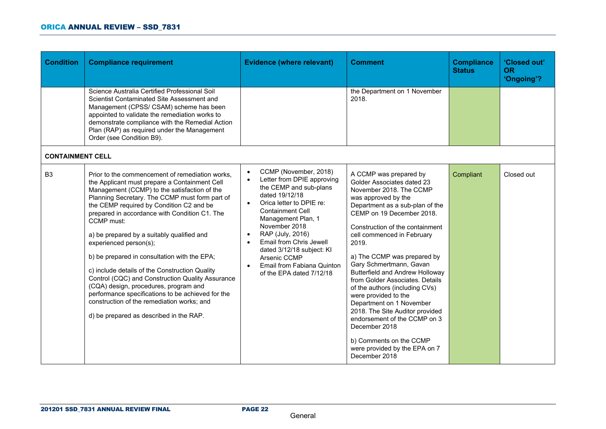| <b>Condition</b>        | <b>Compliance requirement</b>                                                                                                                                                                                                                                                                                                                                                                                                                                                                                                                                                                                                                                                                                                      | <b>Evidence (where relevant)</b>                                                                                                                                                                                                                                                                                                                                                                                     | <b>Comment</b>                                                                                                                                                                                                                                                                                                                                                                                                                                                                                                                                                                                                                                 | <b>Compliance</b><br><b>Status</b> | 'Closed out'<br><b>OR</b><br>'Ongoing'? |
|-------------------------|------------------------------------------------------------------------------------------------------------------------------------------------------------------------------------------------------------------------------------------------------------------------------------------------------------------------------------------------------------------------------------------------------------------------------------------------------------------------------------------------------------------------------------------------------------------------------------------------------------------------------------------------------------------------------------------------------------------------------------|----------------------------------------------------------------------------------------------------------------------------------------------------------------------------------------------------------------------------------------------------------------------------------------------------------------------------------------------------------------------------------------------------------------------|------------------------------------------------------------------------------------------------------------------------------------------------------------------------------------------------------------------------------------------------------------------------------------------------------------------------------------------------------------------------------------------------------------------------------------------------------------------------------------------------------------------------------------------------------------------------------------------------------------------------------------------------|------------------------------------|-----------------------------------------|
|                         | Science Australia Certified Professional Soil<br>Scientist Contaminated Site Assessment and<br>Management (CPSS/ CSAM) scheme has been<br>appointed to validate the remediation works to<br>demonstrate compliance with the Remedial Action<br>Plan (RAP) as required under the Management<br>Order (see Condition B9).                                                                                                                                                                                                                                                                                                                                                                                                            |                                                                                                                                                                                                                                                                                                                                                                                                                      | the Department on 1 November<br>2018.                                                                                                                                                                                                                                                                                                                                                                                                                                                                                                                                                                                                          |                                    |                                         |
| <b>CONTAINMENT CELL</b> |                                                                                                                                                                                                                                                                                                                                                                                                                                                                                                                                                                                                                                                                                                                                    |                                                                                                                                                                                                                                                                                                                                                                                                                      |                                                                                                                                                                                                                                                                                                                                                                                                                                                                                                                                                                                                                                                |                                    |                                         |
| B <sub>3</sub>          | Prior to the commencement of remediation works,<br>the Applicant must prepare a Containment Cell<br>Management (CCMP) to the satisfaction of the<br>Planning Secretary. The CCMP must form part of<br>the CEMP required by Condition C2 and be<br>prepared in accordance with Condition C1. The<br>CCMP must:<br>a) be prepared by a suitably qualified and<br>experienced person(s);<br>b) be prepared in consultation with the EPA;<br>c) include details of the Construction Quality<br>Control (CQC) and Construction Quality Assurance<br>(CQA) design, procedures, program and<br>performance specifications to be achieved for the<br>construction of the remediation works; and<br>d) be prepared as described in the RAP. | CCMP (November, 2018)<br>$\bullet$<br>Letter from DPIE approving<br>$\bullet$<br>the CEMP and sub-plans<br>dated 19/12/18<br>Orica letter to DPIE re:<br>$\bullet$<br><b>Containment Cell</b><br>Management Plan, 1<br>November 2018<br>RAP (July, 2016)<br>$\bullet$<br>Email from Chris Jewell<br>dated 3/12/18 subject: KI<br>Arsenic CCMP<br>Email from Fabiana Quinton<br>$\bullet$<br>of the EPA dated 7/12/18 | A CCMP was prepared by<br>Golder Associates dated 23<br>November 2018. The CCMP<br>was approved by the<br>Department as a sub-plan of the<br>CEMP on 19 December 2018.<br>Construction of the containment<br>cell commenced in February<br>2019.<br>a) The CCMP was prepared by<br>Gary Schmertmann, Gavan<br><b>Butterfield and Andrew Holloway</b><br>from Golder Associates. Details<br>of the authors (including CVs)<br>were provided to the<br>Department on 1 November<br>2018. The Site Auditor provided<br>endorsement of the CCMP on 3<br>December 2018<br>b) Comments on the CCMP<br>were provided by the EPA on 7<br>December 2018 | Compliant                          | Closed out                              |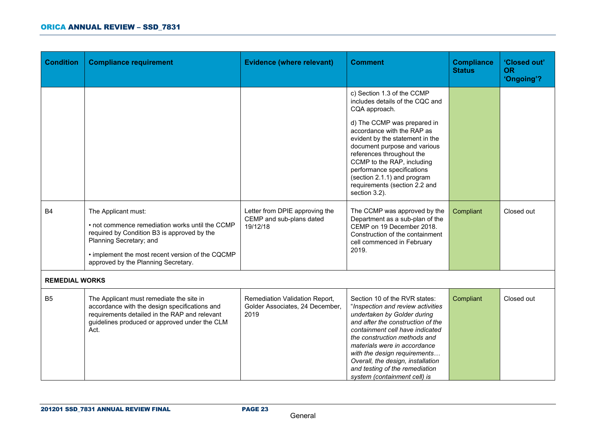| <b>Condition</b>      | <b>Compliance requirement</b>                                                                                                                                                                                                               | <b>Evidence (where relevant)</b>                                          | <b>Comment</b>                                                                                                                                                                                                                                                                                                                                                                   | <b>Compliance</b><br><b>Status</b> | 'Closed out'<br><b>OR</b><br>'Ongoing'? |
|-----------------------|---------------------------------------------------------------------------------------------------------------------------------------------------------------------------------------------------------------------------------------------|---------------------------------------------------------------------------|----------------------------------------------------------------------------------------------------------------------------------------------------------------------------------------------------------------------------------------------------------------------------------------------------------------------------------------------------------------------------------|------------------------------------|-----------------------------------------|
|                       |                                                                                                                                                                                                                                             |                                                                           | c) Section 1.3 of the CCMP<br>includes details of the CQC and<br>CQA approach.                                                                                                                                                                                                                                                                                                   |                                    |                                         |
|                       |                                                                                                                                                                                                                                             |                                                                           | d) The CCMP was prepared in<br>accordance with the RAP as<br>evident by the statement in the<br>document purpose and various<br>references throughout the<br>CCMP to the RAP, including<br>performance specifications<br>(section 2.1.1) and program<br>requirements (section 2.2 and<br>section 3.2).                                                                           |                                    |                                         |
| <b>B4</b>             | The Applicant must:<br>• not commence remediation works until the CCMP<br>required by Condition B3 is approved by the<br>Planning Secretary; and<br>• implement the most recent version of the CQCMP<br>approved by the Planning Secretary. | Letter from DPIE approving the<br>CEMP and sub-plans dated<br>19/12/18    | The CCMP was approved by the<br>Department as a sub-plan of the<br>CEMP on 19 December 2018.<br>Construction of the containment<br>cell commenced in February<br>2019.                                                                                                                                                                                                           | Compliant                          | Closed out                              |
| <b>REMEDIAL WORKS</b> |                                                                                                                                                                                                                                             |                                                                           |                                                                                                                                                                                                                                                                                                                                                                                  |                                    |                                         |
| B <sub>5</sub>        | The Applicant must remediate the site in<br>accordance with the design specifications and<br>requirements detailed in the RAP and relevant<br>guidelines produced or approved under the CLM<br>Act.                                         | Remediation Validation Report,<br>Golder Associates, 24 December,<br>2019 | Section 10 of the RVR states:<br>"Inspection and review activities<br>undertaken by Golder during<br>and after the construction of the<br>containment cell have indicated<br>the construction methods and<br>materials were in accordance<br>with the design requirements<br>Overall, the design, installation<br>and testing of the remediation<br>system (containment cell) is | Compliant                          | Closed out                              |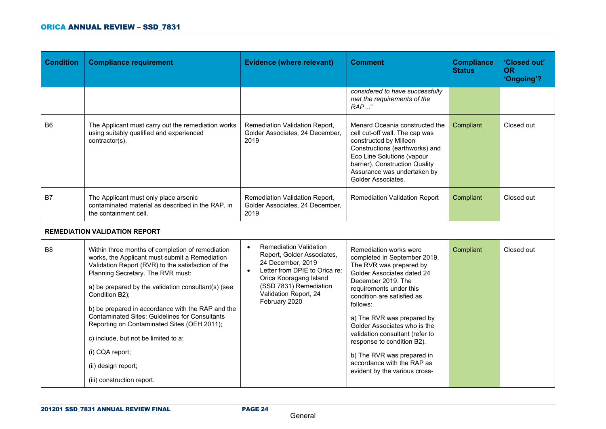| <b>Condition</b> | <b>Compliance requirement</b>                                                                                                                                                                                                                                                                                                                                                                                                                                                                                                                       | <b>Evidence (where relevant)</b>                                                                                                                                                                                                          | <b>Comment</b>                                                                                                                                                                                                                                                                                                                                                                                                                         | <b>Compliance</b><br><b>Status</b> | 'Closed out'<br><b>OR</b><br>'Ongoing'? |
|------------------|-----------------------------------------------------------------------------------------------------------------------------------------------------------------------------------------------------------------------------------------------------------------------------------------------------------------------------------------------------------------------------------------------------------------------------------------------------------------------------------------------------------------------------------------------------|-------------------------------------------------------------------------------------------------------------------------------------------------------------------------------------------------------------------------------------------|----------------------------------------------------------------------------------------------------------------------------------------------------------------------------------------------------------------------------------------------------------------------------------------------------------------------------------------------------------------------------------------------------------------------------------------|------------------------------------|-----------------------------------------|
|                  |                                                                                                                                                                                                                                                                                                                                                                                                                                                                                                                                                     |                                                                                                                                                                                                                                           | considered to have successfully<br>met the requirements of the<br>$RAP$ "                                                                                                                                                                                                                                                                                                                                                              |                                    |                                         |
| B <sub>6</sub>   | The Applicant must carry out the remediation works<br>using suitably qualified and experienced<br>contractor(s).                                                                                                                                                                                                                                                                                                                                                                                                                                    | Remediation Validation Report,<br>Golder Associates, 24 December,<br>2019                                                                                                                                                                 | Menard Oceania constructed the<br>cell cut-off wall. The cap was<br>constructed by Milleen<br>Constructions (earthworks) and<br>Eco Line Solutions (vapour<br>barrier). Construction Quality<br>Assurance was undertaken by<br>Golder Associates.                                                                                                                                                                                      | Compliant                          | Closed out                              |
| B7               | The Applicant must only place arsenic<br>contaminated material as described in the RAP, in<br>the containment cell.                                                                                                                                                                                                                                                                                                                                                                                                                                 | Remediation Validation Report,<br>Golder Associates, 24 December,<br>2019                                                                                                                                                                 | <b>Remediation Validation Report</b>                                                                                                                                                                                                                                                                                                                                                                                                   | Compliant                          | Closed out                              |
|                  | <b>REMEDIATION VALIDATION REPORT</b>                                                                                                                                                                                                                                                                                                                                                                                                                                                                                                                |                                                                                                                                                                                                                                           |                                                                                                                                                                                                                                                                                                                                                                                                                                        |                                    |                                         |
| B <sub>8</sub>   | Within three months of completion of remediation<br>works, the Applicant must submit a Remediation<br>Validation Report (RVR) to the satisfaction of the<br>Planning Secretary. The RVR must:<br>a) be prepared by the validation consultant(s) (see<br>Condition B2);<br>b) be prepared in accordance with the RAP and the<br><b>Contaminated Sites: Guidelines for Consultants</b><br>Reporting on Contaminated Sites (OEH 2011);<br>c) include, but not be limited to a:<br>(i) CQA report;<br>(ii) design report;<br>(iii) construction report. | <b>Remediation Validation</b><br>$\bullet$<br>Report, Golder Associates,<br>24 December, 2019<br>Letter from DPIE to Orica re:<br>$\bullet$<br>Orica Kooragang Island<br>(SSD 7831) Remediation<br>Validation Report, 24<br>February 2020 | Remediation works were<br>completed in September 2019.<br>The RVR was prepared by<br>Golder Associates dated 24<br>December 2019. The<br>requirements under this<br>condition are satisfied as<br>follows:<br>a) The RVR was prepared by<br>Golder Associates who is the<br>validation consultant (refer to<br>response to condition B2).<br>b) The RVR was prepared in<br>accordance with the RAP as<br>evident by the various cross- | Compliant                          | Closed out                              |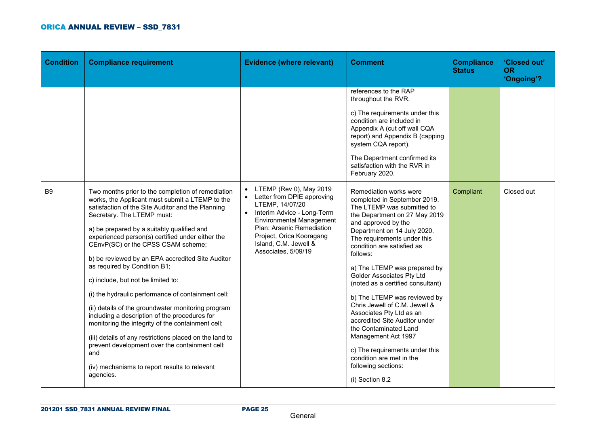| <b>Condition</b> | <b>Compliance requirement</b>                                                                                                                                                                                                                                                                                                                                                                                                                                                                                                                                                                                                                                                                                                                                                                                                                                 | <b>Evidence (where relevant)</b>                                                                                                                                                                                                                       | <b>Comment</b>                                                                                                                                                                                                                                                                                                                                                                                                                                                                                                                                                                                                                               | <b>Compliance</b><br><b>Status</b> | 'Closed out'<br><b>OR</b><br>'Ongoing'? |
|------------------|---------------------------------------------------------------------------------------------------------------------------------------------------------------------------------------------------------------------------------------------------------------------------------------------------------------------------------------------------------------------------------------------------------------------------------------------------------------------------------------------------------------------------------------------------------------------------------------------------------------------------------------------------------------------------------------------------------------------------------------------------------------------------------------------------------------------------------------------------------------|--------------------------------------------------------------------------------------------------------------------------------------------------------------------------------------------------------------------------------------------------------|----------------------------------------------------------------------------------------------------------------------------------------------------------------------------------------------------------------------------------------------------------------------------------------------------------------------------------------------------------------------------------------------------------------------------------------------------------------------------------------------------------------------------------------------------------------------------------------------------------------------------------------------|------------------------------------|-----------------------------------------|
|                  |                                                                                                                                                                                                                                                                                                                                                                                                                                                                                                                                                                                                                                                                                                                                                                                                                                                               |                                                                                                                                                                                                                                                        | references to the RAP<br>throughout the RVR.<br>c) The requirements under this<br>condition are included in<br>Appendix A (cut off wall CQA<br>report) and Appendix B (capping<br>system CQA report).<br>The Department confirmed its<br>satisfaction with the RVR in<br>February 2020.                                                                                                                                                                                                                                                                                                                                                      |                                    |                                         |
| <b>B</b> 9       | Two months prior to the completion of remediation<br>works, the Applicant must submit a LTEMP to the<br>satisfaction of the Site Auditor and the Planning<br>Secretary. The LTEMP must:<br>a) be prepared by a suitably qualified and<br>experienced person(s) certified under either the<br>CEnvP(SC) or the CPSS CSAM scheme;<br>b) be reviewed by an EPA accredited Site Auditor<br>as required by Condition B1;<br>c) include, but not be limited to:<br>(i) the hydraulic performance of containment cell;<br>(ii) details of the groundwater monitoring program<br>including a description of the procedures for<br>monitoring the integrity of the containment cell;<br>(iii) details of any restrictions placed on the land to<br>prevent development over the containment cell;<br>and<br>(iv) mechanisms to report results to relevant<br>agencies. | LTEMP (Rev 0), May 2019<br>• Letter from DPIE approving<br>LTEMP, 14/07/20<br>• Interim Advice - Long-Term<br><b>Environmental Management</b><br>Plan: Arsenic Remediation<br>Project, Orica Kooragang<br>Island, C.M. Jewell &<br>Associates, 5/09/19 | Remediation works were<br>completed in September 2019.<br>The LTEMP was submitted to<br>the Department on 27 May 2019<br>and approved by the<br>Department on 14 July 2020.<br>The requirements under this<br>condition are satisfied as<br>follows:<br>a) The LTEMP was prepared by<br>Golder Associates Pty Ltd<br>(noted as a certified consultant)<br>b) The LTEMP was reviewed by<br>Chris Jewell of C.M. Jewell &<br>Associates Pty Ltd as an<br>accredited Site Auditor under<br>the Contaminated Land<br>Management Act 1997<br>c) The requirements under this<br>condition are met in the<br>following sections:<br>(i) Section 8.2 | Compliant                          | Closed out                              |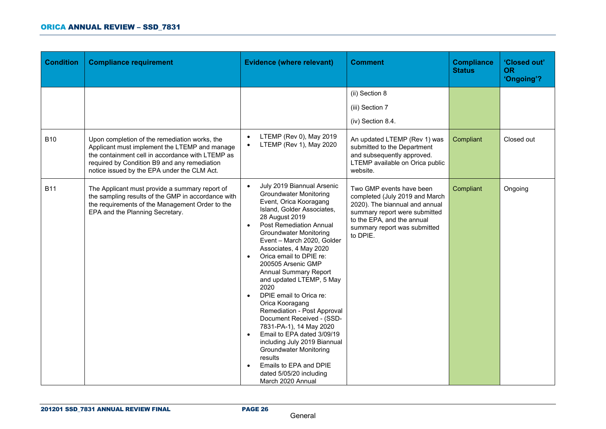| <b>Condition</b> | <b>Compliance requirement</b>                                                                                                                                                                                                                     | <b>Evidence (where relevant)</b>                                                                                                                                                                                                                                                                                                                                                                                                                                                                                                                                                                                                                                                                                                                      | <b>Comment</b>                                                                                                                                                                                          | <b>Compliance</b><br><b>Status</b> | 'Closed out'<br><b>OR</b><br>'Ongoing'? |
|------------------|---------------------------------------------------------------------------------------------------------------------------------------------------------------------------------------------------------------------------------------------------|-------------------------------------------------------------------------------------------------------------------------------------------------------------------------------------------------------------------------------------------------------------------------------------------------------------------------------------------------------------------------------------------------------------------------------------------------------------------------------------------------------------------------------------------------------------------------------------------------------------------------------------------------------------------------------------------------------------------------------------------------------|---------------------------------------------------------------------------------------------------------------------------------------------------------------------------------------------------------|------------------------------------|-----------------------------------------|
|                  |                                                                                                                                                                                                                                                   |                                                                                                                                                                                                                                                                                                                                                                                                                                                                                                                                                                                                                                                                                                                                                       | (ii) Section 8<br>(iii) Section 7<br>(iv) Section 8.4.                                                                                                                                                  |                                    |                                         |
| <b>B10</b>       | Upon completion of the remediation works, the<br>Applicant must implement the LTEMP and manage<br>the containment cell in accordance with LTEMP as<br>required by Condition B9 and any remediation<br>notice issued by the EPA under the CLM Act. | LTEMP (Rev 0), May 2019<br>LTEMP (Rev 1), May 2020                                                                                                                                                                                                                                                                                                                                                                                                                                                                                                                                                                                                                                                                                                    | An updated LTEMP (Rev 1) was<br>submitted to the Department<br>and subsequently approved.<br>LTEMP available on Orica public<br>website.                                                                | Compliant                          | Closed out                              |
| <b>B11</b>       | The Applicant must provide a summary report of<br>the sampling results of the GMP in accordance with<br>the requirements of the Management Order to the<br>EPA and the Planning Secretary.                                                        | July 2019 Biannual Arsenic<br>$\bullet$<br><b>Groundwater Monitoring</b><br>Event, Orica Kooragang<br>Island, Golder Associates,<br>28 August 2019<br><b>Post Remediation Annual</b><br><b>Groundwater Monitoring</b><br>Event - March 2020, Golder<br>Associates, 4 May 2020<br>Orica email to DPIE re:<br>200505 Arsenic GMP<br><b>Annual Summary Report</b><br>and updated LTEMP, 5 May<br>2020<br>DPIE email to Orica re:<br>$\bullet$<br>Orica Kooragang<br>Remediation - Post Approval<br>Document Received - (SSD-<br>7831-PA-1), 14 May 2020<br>Email to EPA dated 3/09/19<br>$\bullet$<br>including July 2019 Biannual<br><b>Groundwater Monitoring</b><br>results<br>Emails to EPA and DPIE<br>dated 5/05/20 including<br>March 2020 Annual | Two GMP events have been<br>completed (July 2019 and March<br>2020). The biannual and annual<br>summary report were submitted<br>to the EPA, and the annual<br>summary report was submitted<br>to DPIE. | Compliant                          | Ongoing                                 |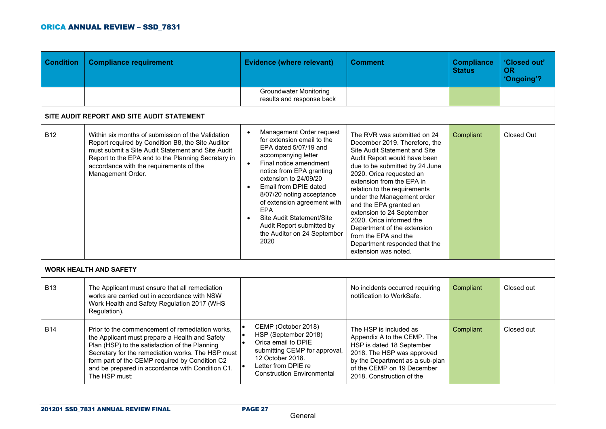| <b>Condition</b> | <b>Compliance requirement</b>                                                                                                                                                                                                                                                                                                   | <b>Evidence (where relevant)</b>                                                                                                                                                                                                                                                                                                                                                                                          | <b>Comment</b>                                                                                                                                                                                                                                                                                                                                                                                                                                                                            | <b>Compliance</b><br><b>Status</b> | 'Closed out'<br><b>OR</b><br>'Ongoing'? |
|------------------|---------------------------------------------------------------------------------------------------------------------------------------------------------------------------------------------------------------------------------------------------------------------------------------------------------------------------------|---------------------------------------------------------------------------------------------------------------------------------------------------------------------------------------------------------------------------------------------------------------------------------------------------------------------------------------------------------------------------------------------------------------------------|-------------------------------------------------------------------------------------------------------------------------------------------------------------------------------------------------------------------------------------------------------------------------------------------------------------------------------------------------------------------------------------------------------------------------------------------------------------------------------------------|------------------------------------|-----------------------------------------|
|                  |                                                                                                                                                                                                                                                                                                                                 | <b>Groundwater Monitoring</b><br>results and response back                                                                                                                                                                                                                                                                                                                                                                |                                                                                                                                                                                                                                                                                                                                                                                                                                                                                           |                                    |                                         |
|                  | SITE AUDIT REPORT AND SITE AUDIT STATEMENT                                                                                                                                                                                                                                                                                      |                                                                                                                                                                                                                                                                                                                                                                                                                           |                                                                                                                                                                                                                                                                                                                                                                                                                                                                                           |                                    |                                         |
| <b>B12</b>       | Within six months of submission of the Validation<br>Report required by Condition B8, the Site Auditor<br>must submit a Site Audit Statement and Site Audit<br>Report to the EPA and to the Planning Secretary in<br>accordance with the requirements of the<br>Management Order.                                               | Management Order request<br>$\bullet$<br>for extension email to the<br>EPA dated 5/07/19 and<br>accompanying letter<br>Final notice amendment<br>$\bullet$<br>notice from EPA granting<br>extension to 24/09/20<br>Email from DPIE dated<br>$\bullet$<br>8/07/20 noting acceptance<br>of extension agreement with<br>EPA<br>Site Audit Statement/Site<br>Audit Report submitted by<br>the Auditor on 24 September<br>2020 | The RVR was submitted on 24<br>December 2019. Therefore, the<br>Site Audit Statement and Site<br>Audit Report would have been<br>due to be submitted by 24 June<br>2020. Orica requested an<br>extension from the EPA in<br>relation to the requirements<br>under the Management order<br>and the EPA granted an<br>extension to 24 September<br>2020. Orica informed the<br>Department of the extension<br>from the EPA and the<br>Department responded that the<br>extension was noted. | Compliant                          | Closed Out                              |
|                  | <b>WORK HEALTH AND SAFETY</b>                                                                                                                                                                                                                                                                                                   |                                                                                                                                                                                                                                                                                                                                                                                                                           |                                                                                                                                                                                                                                                                                                                                                                                                                                                                                           |                                    |                                         |
| <b>B13</b>       | The Applicant must ensure that all remediation<br>works are carried out in accordance with NSW<br>Work Health and Safety Regulation 2017 (WHS<br>Regulation).                                                                                                                                                                   |                                                                                                                                                                                                                                                                                                                                                                                                                           | No incidents occurred requiring<br>notification to WorkSafe.                                                                                                                                                                                                                                                                                                                                                                                                                              | Compliant                          | Closed out                              |
| <b>B14</b>       | Prior to the commencement of remediation works,<br>the Applicant must prepare a Health and Safety<br>Plan (HSP) to the satisfaction of the Planning<br>Secretary for the remediation works. The HSP must<br>form part of the CEMP required by Condition C2<br>and be prepared in accordance with Condition C1.<br>The HSP must: | CEMP (October 2018)<br>HSP (September 2018)<br>Orica email to DPIF<br>submitting CEMP for approval,<br>12 October 2018.<br>Letter from DPIE re<br><b>Construction Environmental</b>                                                                                                                                                                                                                                       | The HSP is included as<br>Appendix A to the CEMP. The<br>HSP is dated 18 September<br>2018. The HSP was approved<br>by the Department as a sub-plan<br>of the CEMP on 19 December<br>2018. Construction of the                                                                                                                                                                                                                                                                            | Compliant                          | Closed out                              |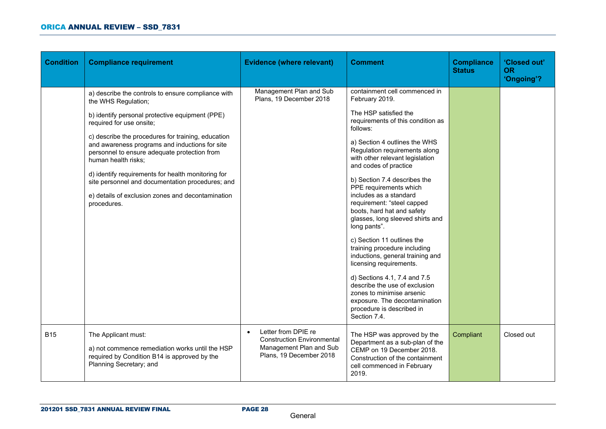| <b>Condition</b> | <b>Compliance requirement</b>                                                                                                                                                                                                                                                                                                                                                                                                                                                                                         | <b>Evidence (where relevant)</b>                                                                                            | <b>Comment</b>                                                                                                                                                                                                                                                                                                                                                                                                                                                                                                                                                                                                                                                                                                                                                       | <b>Compliance</b><br><b>Status</b> | 'Closed out'<br><b>OR</b><br>'Ongoing'? |
|------------------|-----------------------------------------------------------------------------------------------------------------------------------------------------------------------------------------------------------------------------------------------------------------------------------------------------------------------------------------------------------------------------------------------------------------------------------------------------------------------------------------------------------------------|-----------------------------------------------------------------------------------------------------------------------------|----------------------------------------------------------------------------------------------------------------------------------------------------------------------------------------------------------------------------------------------------------------------------------------------------------------------------------------------------------------------------------------------------------------------------------------------------------------------------------------------------------------------------------------------------------------------------------------------------------------------------------------------------------------------------------------------------------------------------------------------------------------------|------------------------------------|-----------------------------------------|
|                  | a) describe the controls to ensure compliance with<br>the WHS Regulation;<br>b) identify personal protective equipment (PPE)<br>required for use onsite;<br>c) describe the procedures for training, education<br>and awareness programs and inductions for site<br>personnel to ensure adequate protection from<br>human health risks;<br>d) identify requirements for health monitoring for<br>site personnel and documentation procedures; and<br>e) details of exclusion zones and decontamination<br>procedures. | Management Plan and Sub<br>Plans, 19 December 2018                                                                          | containment cell commenced in<br>February 2019.<br>The HSP satisfied the<br>requirements of this condition as<br>follows:<br>a) Section 4 outlines the WHS<br>Regulation requirements along<br>with other relevant legislation<br>and codes of practice<br>b) Section 7.4 describes the<br>PPE requirements which<br>includes as a standard<br>requirement: "steel capped<br>boots, hard hat and safety<br>glasses, long sleeved shirts and<br>long pants".<br>c) Section 11 outlines the<br>training procedure including<br>inductions, general training and<br>licensing requirements.<br>d) Sections 4.1, 7.4 and 7.5<br>describe the use of exclusion<br>zones to minimise arsenic<br>exposure. The decontamination<br>procedure is described in<br>Section 7.4. |                                    |                                         |
| <b>B15</b>       | The Applicant must:<br>a) not commence remediation works until the HSP<br>required by Condition B14 is approved by the<br>Planning Secretary; and                                                                                                                                                                                                                                                                                                                                                                     | Letter from DPIE re<br>$\bullet$<br><b>Construction Environmental</b><br>Management Plan and Sub<br>Plans, 19 December 2018 | The HSP was approved by the<br>Department as a sub-plan of the<br>CEMP on 19 December 2018.<br>Construction of the containment<br>cell commenced in February<br>2019.                                                                                                                                                                                                                                                                                                                                                                                                                                                                                                                                                                                                | Compliant                          | Closed out                              |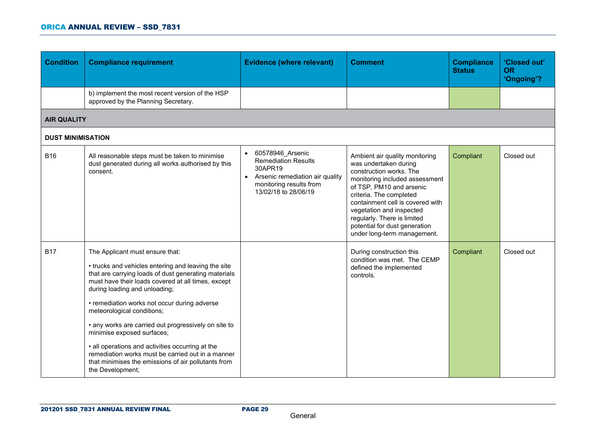#### ORICA ANNUAL REVIEW – SSD\_7831

| <b>Condition</b>         | <b>Compliance requirement</b>                                                                                                                                                                                                                                                                                                                                                                                                                                                                                                                                                                 | <b>Evidence (where relevant)</b>                                                                                                                               | <b>Comment</b>                                                                                                                                                                                                                                                                                                                             | <b>Compliance</b><br><b>Status</b> | 'Closed out'<br><b>OR</b><br>'Ongoing'? |
|--------------------------|-----------------------------------------------------------------------------------------------------------------------------------------------------------------------------------------------------------------------------------------------------------------------------------------------------------------------------------------------------------------------------------------------------------------------------------------------------------------------------------------------------------------------------------------------------------------------------------------------|----------------------------------------------------------------------------------------------------------------------------------------------------------------|--------------------------------------------------------------------------------------------------------------------------------------------------------------------------------------------------------------------------------------------------------------------------------------------------------------------------------------------|------------------------------------|-----------------------------------------|
|                          | b) implement the most recent version of the HSP<br>approved by the Planning Secretary.                                                                                                                                                                                                                                                                                                                                                                                                                                                                                                        |                                                                                                                                                                |                                                                                                                                                                                                                                                                                                                                            |                                    |                                         |
| <b>AIR QUALITY</b>       |                                                                                                                                                                                                                                                                                                                                                                                                                                                                                                                                                                                               |                                                                                                                                                                |                                                                                                                                                                                                                                                                                                                                            |                                    |                                         |
| <b>DUST MINIMISATION</b> |                                                                                                                                                                                                                                                                                                                                                                                                                                                                                                                                                                                               |                                                                                                                                                                |                                                                                                                                                                                                                                                                                                                                            |                                    |                                         |
| <b>B16</b>               | All reasonable steps must be taken to minimise<br>dust generated during all works authorised by this<br>consent.                                                                                                                                                                                                                                                                                                                                                                                                                                                                              | 60578946_Arsenic<br>$\bullet$<br><b>Remediation Results</b><br>30APR19<br>• Arsenic remediation air quality<br>monitoring results from<br>13/02/18 to 28/06/19 | Ambient air quality monitoring<br>was undertaken during<br>construction works. The<br>monitoring included assessment<br>of TSP, PM10 and arsenic<br>criteria. The completed<br>containment cell is covered with<br>vegetation and inspected<br>regularly. There is limited<br>potential for dust generation<br>under long-term management. | Compliant                          | Closed out                              |
| <b>B17</b>               | The Applicant must ensure that:<br>• trucks and vehicles entering and leaving the site<br>that are carrying loads of dust generating materials<br>must have their loads covered at all times, except<br>during loading and unloading;<br>• remediation works not occur during adverse<br>meteorological conditions;<br>• any works are carried out progressively on site to<br>minimise exposed surfaces;<br>• all operations and activities occurring at the<br>remediation works must be carried out in a manner<br>that minimises the emissions of air pollutants from<br>the Development; |                                                                                                                                                                | During construction this<br>condition was met. The CEMP<br>defined the implemented<br>controls.                                                                                                                                                                                                                                            | Compliant                          | Closed out                              |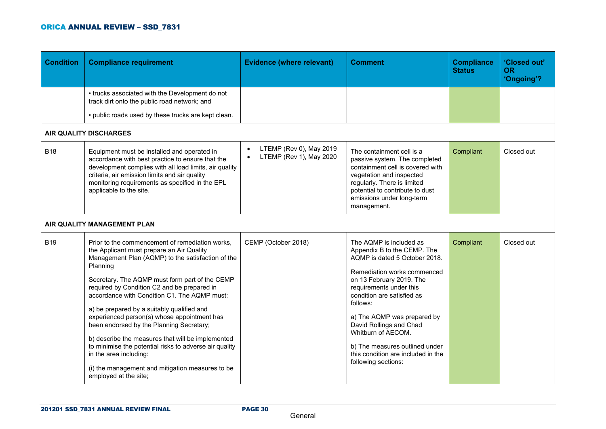| <b>Condition</b> | <b>Compliance requirement</b>                                                                                                                                                                                                                                                                                                                                                                                                                                                                                                                                                                                                                                                 | <b>Evidence (where relevant)</b>                                             | <b>Comment</b>                                                                                                                                                                                                                                                                                                                                                                                         | <b>Compliance</b><br><b>Status</b> | 'Closed out'<br>OR.<br>'Ongoing'? |
|------------------|-------------------------------------------------------------------------------------------------------------------------------------------------------------------------------------------------------------------------------------------------------------------------------------------------------------------------------------------------------------------------------------------------------------------------------------------------------------------------------------------------------------------------------------------------------------------------------------------------------------------------------------------------------------------------------|------------------------------------------------------------------------------|--------------------------------------------------------------------------------------------------------------------------------------------------------------------------------------------------------------------------------------------------------------------------------------------------------------------------------------------------------------------------------------------------------|------------------------------------|-----------------------------------|
|                  | • trucks associated with the Development do not<br>track dirt onto the public road network; and<br>• public roads used by these trucks are kept clean.                                                                                                                                                                                                                                                                                                                                                                                                                                                                                                                        |                                                                              |                                                                                                                                                                                                                                                                                                                                                                                                        |                                    |                                   |
|                  | <b>AIR QUALITY DISCHARGES</b>                                                                                                                                                                                                                                                                                                                                                                                                                                                                                                                                                                                                                                                 |                                                                              |                                                                                                                                                                                                                                                                                                                                                                                                        |                                    |                                   |
| <b>B18</b>       | Equipment must be installed and operated in<br>accordance with best practice to ensure that the<br>development complies with all load limits, air quality<br>criteria, air emission limits and air quality<br>monitoring requirements as specified in the EPL<br>applicable to the site.                                                                                                                                                                                                                                                                                                                                                                                      | LTEMP (Rev 0), May 2019<br>$\bullet$<br>LTEMP (Rev 1), May 2020<br>$\bullet$ | The containment cell is a<br>passive system. The completed<br>containment cell is covered with<br>vegetation and inspected<br>regularly. There is limited<br>potential to contribute to dust<br>emissions under long-term<br>management.                                                                                                                                                               | Compliant                          | Closed out                        |
|                  | AIR QUALITY MANAGEMENT PLAN                                                                                                                                                                                                                                                                                                                                                                                                                                                                                                                                                                                                                                                   |                                                                              |                                                                                                                                                                                                                                                                                                                                                                                                        |                                    |                                   |
| <b>B19</b>       | Prior to the commencement of remediation works,<br>the Applicant must prepare an Air Quality<br>Management Plan (AQMP) to the satisfaction of the<br>Planning<br>Secretary. The AQMP must form part of the CEMP<br>required by Condition C2 and be prepared in<br>accordance with Condition C1. The AQMP must:<br>a) be prepared by a suitably qualified and<br>experienced person(s) whose appointment has<br>been endorsed by the Planning Secretary;<br>b) describe the measures that will be implemented<br>to minimise the potential risks to adverse air quality<br>in the area including:<br>(i) the management and mitigation measures to be<br>employed at the site; | CEMP (October 2018)                                                          | The AQMP is included as<br>Appendix B to the CEMP. The<br>AQMP is dated 5 October 2018.<br>Remediation works commenced<br>on 13 February 2019. The<br>requirements under this<br>condition are satisfied as<br>follows:<br>a) The AQMP was prepared by<br>David Rollings and Chad<br>Whitburn of AECOM.<br>b) The measures outlined under<br>this condition are included in the<br>following sections: | Compliant                          | Closed out                        |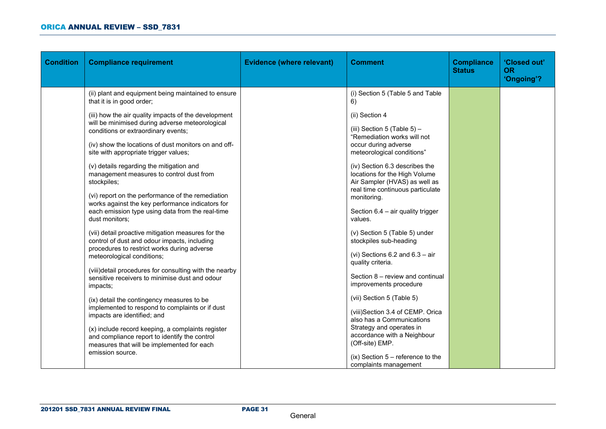| <b>Condition</b> | <b>Compliance requirement</b>                                                                                                                                                                                                                                                                                                                                                                                                                                                                                                                                                                                                                                                                                                                                                                                                                                                                                                                                                                                                                                                                                             | <b>Evidence (where relevant)</b> | <b>Comment</b>                                                                                                                                                                                                                                                                                                                                                                                                                                                                                                                                                                                                                                                                                        | <b>Compliance</b><br><b>Status</b> | 'Closed out'<br><b>OR</b><br>'Ongoing'? |
|------------------|---------------------------------------------------------------------------------------------------------------------------------------------------------------------------------------------------------------------------------------------------------------------------------------------------------------------------------------------------------------------------------------------------------------------------------------------------------------------------------------------------------------------------------------------------------------------------------------------------------------------------------------------------------------------------------------------------------------------------------------------------------------------------------------------------------------------------------------------------------------------------------------------------------------------------------------------------------------------------------------------------------------------------------------------------------------------------------------------------------------------------|----------------------------------|-------------------------------------------------------------------------------------------------------------------------------------------------------------------------------------------------------------------------------------------------------------------------------------------------------------------------------------------------------------------------------------------------------------------------------------------------------------------------------------------------------------------------------------------------------------------------------------------------------------------------------------------------------------------------------------------------------|------------------------------------|-----------------------------------------|
|                  | (ii) plant and equipment being maintained to ensure<br>that it is in good order;<br>(iii) how the air quality impacts of the development<br>will be minimised during adverse meteorological<br>conditions or extraordinary events;<br>(iv) show the locations of dust monitors on and off-<br>site with appropriate trigger values;<br>(v) details regarding the mitigation and<br>management measures to control dust from<br>stockpiles;<br>(vi) report on the performance of the remediation<br>works against the key performance indicators for<br>each emission type using data from the real-time<br>dust monitors;<br>(vii) detail proactive mitigation measures for the<br>control of dust and odour impacts, including<br>procedures to restrict works during adverse<br>meteorological conditions;<br>(viii)detail procedures for consulting with the nearby<br>sensitive receivers to minimise dust and odour<br>impacts;<br>(ix) detail the contingency measures to be<br>implemented to respond to complaints or if dust<br>impacts are identified; and<br>(x) include record keeping, a complaints register |                                  | (i) Section 5 (Table 5 and Table<br>6)<br>(ii) Section 4<br>(iii) Section 5 (Table $5$ ) -<br>"Remediation works will not<br>occur during adverse<br>meteorological conditions"<br>(iv) Section 6.3 describes the<br>locations for the High Volume<br>Air Sampler (HVAS) as well as<br>real time continuous particulate<br>monitoring.<br>Section $6.4$ – air quality trigger<br>values.<br>(v) Section 5 (Table 5) under<br>stockpiles sub-heading<br>(vi) Sections 6.2 and $6.3 - air$<br>quality criteria.<br>Section 8 - review and continual<br>improvements procedure<br>(vii) Section 5 (Table 5)<br>(viii)Section 3.4 of CEMP. Orica<br>also has a Communications<br>Strategy and operates in |                                    |                                         |
|                  | and compliance report to identify the control<br>measures that will be implemented for each<br>emission source.                                                                                                                                                                                                                                                                                                                                                                                                                                                                                                                                                                                                                                                                                                                                                                                                                                                                                                                                                                                                           |                                  | accordance with a Neighbour<br>(Off-site) EMP.<br>$(ix)$ Section 5 – reference to the<br>complaints management                                                                                                                                                                                                                                                                                                                                                                                                                                                                                                                                                                                        |                                    |                                         |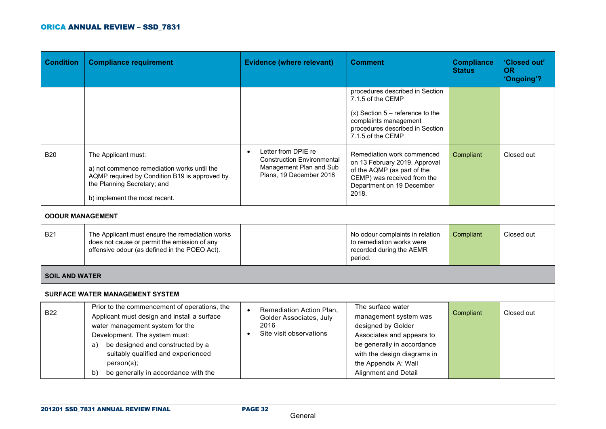| <b>Condition</b>        | <b>Compliance requirement</b>                                                                                                                                                                                                                                                                              | <b>Evidence (where relevant)</b>                                                                               | <b>Comment</b>                                                                                                                                                                                                    | <b>Compliance</b><br><b>Status</b> | 'Closed out'<br><b>OR</b><br>'Ongoing'? |
|-------------------------|------------------------------------------------------------------------------------------------------------------------------------------------------------------------------------------------------------------------------------------------------------------------------------------------------------|----------------------------------------------------------------------------------------------------------------|-------------------------------------------------------------------------------------------------------------------------------------------------------------------------------------------------------------------|------------------------------------|-----------------------------------------|
|                         |                                                                                                                                                                                                                                                                                                            |                                                                                                                | procedures described in Section<br>7.1.5 of the CEMP<br>$(x)$ Section 5 – reference to the<br>complaints management<br>procedures described in Section<br>7.1.5 of the CEMP                                       |                                    |                                         |
| <b>B20</b>              | The Applicant must:<br>a) not commence remediation works until the<br>AQMP required by Condition B19 is approved by<br>the Planning Secretary; and<br>b) implement the most recent.                                                                                                                        | Letter from DPIE re<br><b>Construction Environmental</b><br>Management Plan and Sub<br>Plans, 19 December 2018 | Remediation work commenced<br>on 13 February 2019. Approval<br>of the AQMP (as part of the<br>CEMP) was received from the<br>Department on 19 December<br>2018.                                                   | Compliant                          | Closed out                              |
| <b>ODOUR MANAGEMENT</b> |                                                                                                                                                                                                                                                                                                            |                                                                                                                |                                                                                                                                                                                                                   |                                    |                                         |
| <b>B21</b>              | The Applicant must ensure the remediation works<br>does not cause or permit the emission of any<br>offensive odour (as defined in the POEO Act).                                                                                                                                                           |                                                                                                                | No odour complaints in relation<br>to remediation works were<br>recorded during the AEMR<br>period.                                                                                                               | Compliant                          | Closed out                              |
| <b>SOIL AND WATER</b>   |                                                                                                                                                                                                                                                                                                            |                                                                                                                |                                                                                                                                                                                                                   |                                    |                                         |
|                         | SURFACE WATER MANAGEMENT SYSTEM                                                                                                                                                                                                                                                                            |                                                                                                                |                                                                                                                                                                                                                   |                                    |                                         |
| <b>B22</b>              | Prior to the commencement of operations, the<br>Applicant must design and install a surface<br>water management system for the<br>Development. The system must:<br>be designed and constructed by a<br>a)<br>suitably qualified and experienced<br>person(s);<br>be generally in accordance with the<br>b) | Remediation Action Plan,<br>$\bullet$<br>Golder Associates, July<br>2016<br>Site visit observations            | The surface water<br>management system was<br>designed by Golder<br>Associates and appears to<br>be generally in accordance<br>with the design diagrams in<br>the Appendix A: Wall<br><b>Alignment and Detail</b> | Compliant                          | Closed out                              |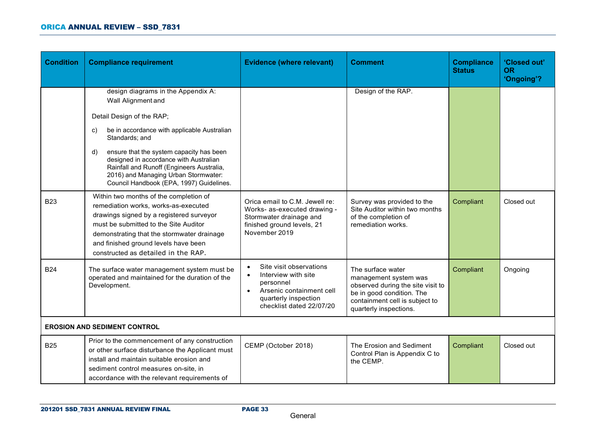| <b>Condition</b>                    | <b>Compliance requirement</b>                                                                                                                                                                                                                                                                                                                                                                       | <b>Evidence (where relevant)</b>                                                                                                                                                   | <b>Comment</b>                                                                                                                                                           | <b>Compliance</b><br><b>Status</b> | 'Closed out'<br><b>OR</b><br>'Ongoing'? |
|-------------------------------------|-----------------------------------------------------------------------------------------------------------------------------------------------------------------------------------------------------------------------------------------------------------------------------------------------------------------------------------------------------------------------------------------------------|------------------------------------------------------------------------------------------------------------------------------------------------------------------------------------|--------------------------------------------------------------------------------------------------------------------------------------------------------------------------|------------------------------------|-----------------------------------------|
|                                     | design diagrams in the Appendix A:<br>Wall Alignment and<br>Detail Design of the RAP;<br>be in accordance with applicable Australian<br>C)<br>Standards; and<br>ensure that the system capacity has been<br>$\mathsf{d}$<br>designed in accordance with Australian<br>Rainfall and Runoff (Engineers Australia,<br>2016) and Managing Urban Stormwater:<br>Council Handbook (EPA, 1997) Guidelines. |                                                                                                                                                                                    | Design of the RAP.                                                                                                                                                       |                                    |                                         |
| <b>B23</b>                          | Within two months of the completion of<br>remediation works, works-as-executed<br>drawings signed by a registered surveyor<br>must be submitted to the Site Auditor<br>demonstrating that the stormwater drainage<br>and finished ground levels have been<br>constructed as detailed in the RAP.                                                                                                    | Orica email to C.M. Jewell re:<br>Works- as-executed drawing -<br>Stormwater drainage and<br>finished ground levels, 21<br>November 2019                                           | Survey was provided to the<br>Site Auditor within two months<br>of the completion of<br>remediation works.                                                               | Compliant                          | Closed out                              |
| <b>B24</b>                          | The surface water management system must be<br>operated and maintained for the duration of the<br>Development.                                                                                                                                                                                                                                                                                      | Site visit observations<br>$\bullet$<br>Interview with site<br>$\bullet$<br>personnel<br>Arsenic containment cell<br>$\bullet$<br>quarterly inspection<br>checklist dated 22/07/20 | The surface water<br>management system was<br>observed during the site visit to<br>be in good condition. The<br>containment cell is subject to<br>quarterly inspections. | Compliant                          | Ongoing                                 |
| <b>EROSION AND SEDIMENT CONTROL</b> |                                                                                                                                                                                                                                                                                                                                                                                                     |                                                                                                                                                                                    |                                                                                                                                                                          |                                    |                                         |
| <b>B25</b>                          | Prior to the commencement of any construction<br>or other surface disturbance the Applicant must<br>install and maintain suitable erosion and<br>sediment control measures on-site, in<br>accordance with the relevant requirements of                                                                                                                                                              | CEMP (October 2018)                                                                                                                                                                | The Erosion and Sediment<br>Control Plan is Appendix C to<br>the CEMP.                                                                                                   | Compliant                          | Closed out                              |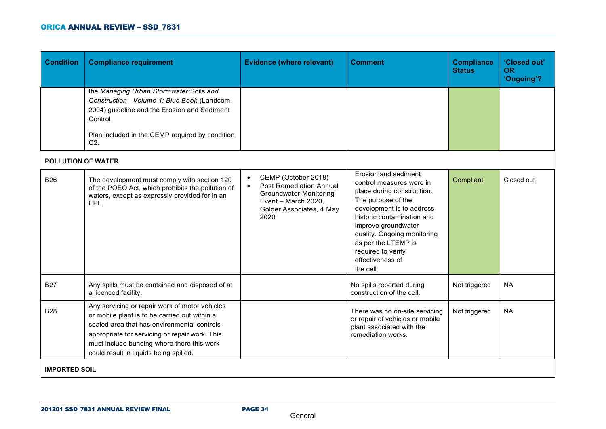| <b>Condition</b>          | <b>Compliance requirement</b>                                                                                                                                                                                                                                                            | <b>Evidence (where relevant)</b>                                                                                                                                            | <b>Comment</b>                                                                                                                                                                                                                                                                                      | <b>Compliance</b><br><b>Status</b> | 'Closed out'<br><b>OR</b><br>'Ongoing'? |
|---------------------------|------------------------------------------------------------------------------------------------------------------------------------------------------------------------------------------------------------------------------------------------------------------------------------------|-----------------------------------------------------------------------------------------------------------------------------------------------------------------------------|-----------------------------------------------------------------------------------------------------------------------------------------------------------------------------------------------------------------------------------------------------------------------------------------------------|------------------------------------|-----------------------------------------|
|                           | the Managing Urban Stormwater: Soils and<br>Construction - Volume 1: Blue Book (Landcom,<br>2004) guideline and the Erosion and Sediment<br>Control<br>Plan included in the CEMP required by condition<br>C <sub>2</sub> .                                                               |                                                                                                                                                                             |                                                                                                                                                                                                                                                                                                     |                                    |                                         |
| <b>POLLUTION OF WATER</b> |                                                                                                                                                                                                                                                                                          |                                                                                                                                                                             |                                                                                                                                                                                                                                                                                                     |                                    |                                         |
| <b>B26</b>                | The development must comply with section 120<br>of the POEO Act, which prohibits the pollution of<br>waters, except as expressly provided for in an<br>EPL.                                                                                                                              | CEMP (October 2018)<br>$\bullet$<br><b>Post Remediation Annual</b><br>$\bullet$<br><b>Groundwater Monitoring</b><br>Event - March 2020,<br>Golder Associates, 4 May<br>2020 | Erosion and sediment<br>control measures were in<br>place during construction.<br>The purpose of the<br>development is to address<br>historic contamination and<br>improve groundwater<br>quality. Ongoing monitoring<br>as per the LTEMP is<br>required to verify<br>effectiveness of<br>the cell. | Compliant                          | Closed out                              |
| <b>B27</b>                | Any spills must be contained and disposed of at<br>a licenced facility.                                                                                                                                                                                                                  |                                                                                                                                                                             | No spills reported during<br>construction of the cell.                                                                                                                                                                                                                                              | Not triggered                      | <b>NA</b>                               |
| <b>B28</b>                | Any servicing or repair work of motor vehicles<br>or mobile plant is to be carried out within a<br>sealed area that has environmental controls<br>appropriate for servicing or repair work. This<br>must include bunding where there this work<br>could result in liquids being spilled. |                                                                                                                                                                             | There was no on-site servicing<br>or repair of vehicles or mobile<br>plant associated with the<br>remediation works.                                                                                                                                                                                | Not triggered                      | <b>NA</b>                               |
| <b>IMPORTED SOIL</b>      |                                                                                                                                                                                                                                                                                          |                                                                                                                                                                             |                                                                                                                                                                                                                                                                                                     |                                    |                                         |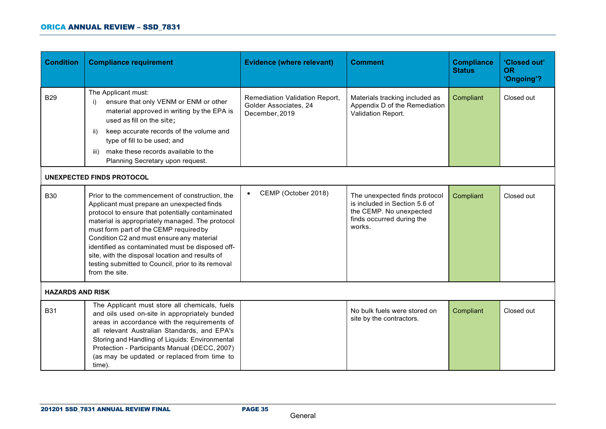| <b>Condition</b>        | <b>Compliance requirement</b>                                                                                                                                                                                                                                                                                                                                                                                                                                             | <b>Evidence (where relevant)</b>                                                 | <b>Comment</b>                                                                                                                   | <b>Compliance</b><br><b>Status</b> | 'Closed out'<br><b>OR</b><br>'Ongoing'? |
|-------------------------|---------------------------------------------------------------------------------------------------------------------------------------------------------------------------------------------------------------------------------------------------------------------------------------------------------------------------------------------------------------------------------------------------------------------------------------------------------------------------|----------------------------------------------------------------------------------|----------------------------------------------------------------------------------------------------------------------------------|------------------------------------|-----------------------------------------|
| <b>B29</b>              | The Applicant must:<br>ensure that only VENM or ENM or other<br>i)<br>material approved in writing by the EPA is<br>used as fill on the site;<br>keep accurate records of the volume and<br>ii)<br>type of fill to be used; and<br>make these records available to the<br>iii)<br>Planning Secretary upon request.                                                                                                                                                        | <b>Remediation Validation Report,</b><br>Golder Associates, 24<br>December, 2019 | Materials tracking included as<br>Appendix D of the Remediation<br>Validation Report.                                            | Compliant                          | Closed out                              |
|                         | UNEXPECTED FINDS PROTOCOL                                                                                                                                                                                                                                                                                                                                                                                                                                                 |                                                                                  |                                                                                                                                  |                                    |                                         |
| <b>B30</b>              | Prior to the commencement of construction, the<br>Applicant must prepare an unexpected finds<br>protocol to ensure that potentially contaminated<br>material is appropriately managed. The protocol<br>must form part of the CEMP required by<br>Condition C2 and must ensure any material<br>identified as contaminated must be disposed off-<br>site, with the disposal location and results of<br>testing submitted to Council, prior to its removal<br>from the site. | CEMP (October 2018)<br>$\bullet$                                                 | The unexpected finds protocol<br>is included in Section 5.6 of<br>the CEMP. No unexpected<br>finds occurred during the<br>works. | Compliant                          | Closed out                              |
| <b>HAZARDS AND RISK</b> |                                                                                                                                                                                                                                                                                                                                                                                                                                                                           |                                                                                  |                                                                                                                                  |                                    |                                         |
| <b>B31</b>              | The Applicant must store all chemicals, fuels<br>and oils used on-site in appropriately bunded<br>areas in accordance with the requirements of<br>all relevant Australian Standards, and EPA's<br>Storing and Handling of Liquids: Environmental<br>Protection - Participants Manual (DECC, 2007)<br>(as may be updated or replaced from time to<br>time).                                                                                                                |                                                                                  | No bulk fuels were stored on<br>site by the contractors.                                                                         | Compliant                          | Closed out                              |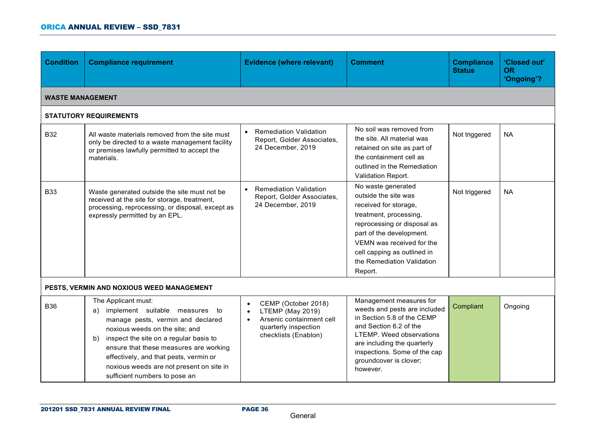| <b>Condition</b>        | <b>Compliance requirement</b>                                                                                                                                                                                                                                                                                                                       | <b>Evidence (where relevant)</b>                                                                                    | <b>Comment</b>                                                                                                                                                                                                                                                | <b>Compliance</b><br><b>Status</b> | 'Closed out'<br><b>OR</b><br>'Ongoing'? |
|-------------------------|-----------------------------------------------------------------------------------------------------------------------------------------------------------------------------------------------------------------------------------------------------------------------------------------------------------------------------------------------------|---------------------------------------------------------------------------------------------------------------------|---------------------------------------------------------------------------------------------------------------------------------------------------------------------------------------------------------------------------------------------------------------|------------------------------------|-----------------------------------------|
| <b>WASTE MANAGEMENT</b> |                                                                                                                                                                                                                                                                                                                                                     |                                                                                                                     |                                                                                                                                                                                                                                                               |                                    |                                         |
|                         | <b>STATUTORY REQUIREMENTS</b>                                                                                                                                                                                                                                                                                                                       |                                                                                                                     |                                                                                                                                                                                                                                                               |                                    |                                         |
| <b>B32</b>              | All waste materials removed from the site must<br>only be directed to a waste management facility<br>or premises lawfully permitted to accept the<br>materials.                                                                                                                                                                                     | <b>Remediation Validation</b><br>$\bullet$<br>Report, Golder Associates,<br>24 December, 2019                       | No soil was removed from<br>the site. All material was<br>retained on site as part of<br>the containment cell as<br>outlined in the Remediation<br>Validation Report.                                                                                         | Not triggered                      | <b>NA</b>                               |
| <b>B33</b>              | Waste generated outside the site must not be<br>received at the site for storage, treatment,<br>processing, reprocessing, or disposal, except as<br>expressly permitted by an EPL.                                                                                                                                                                  | <b>Remediation Validation</b><br>Report, Golder Associates,<br>24 December, 2019                                    | No waste generated<br>outside the site was<br>received for storage,<br>treatment, processing,<br>reprocessing or disposal as<br>part of the development.<br>VEMN was received for the<br>cell capping as outlined in<br>the Remediation Validation<br>Report. | Not triggered                      | <b>NA</b>                               |
|                         | PESTS, VERMIN AND NOXIOUS WEED MANAGEMENT                                                                                                                                                                                                                                                                                                           |                                                                                                                     |                                                                                                                                                                                                                                                               |                                    |                                         |
| <b>B36</b>              | The Applicant must:<br>implement suitable measures to<br>a)<br>manage pests, vermin and declared<br>noxious weeds on the site; and<br>inspect the site on a regular basis to<br>b)<br>ensure that these measures are working<br>effectively, and that pests, vermin or<br>noxious weeds are not present on site in<br>sufficient numbers to pose an | CEMP (October 2018)<br>LTEMP (May 2019)<br>Arsenic containment cell<br>quarterly inspection<br>checklists (Enablon) | Management measures for<br>weeds and pests are included<br>in Section 5.8 of the CEMP<br>and Section 6.2 of the<br><b>LTEMP.</b> Weed observations<br>are including the quarterly<br>inspections. Some of the cap<br>groundcover is clover;<br>however.       | Compliant                          | Ongoing                                 |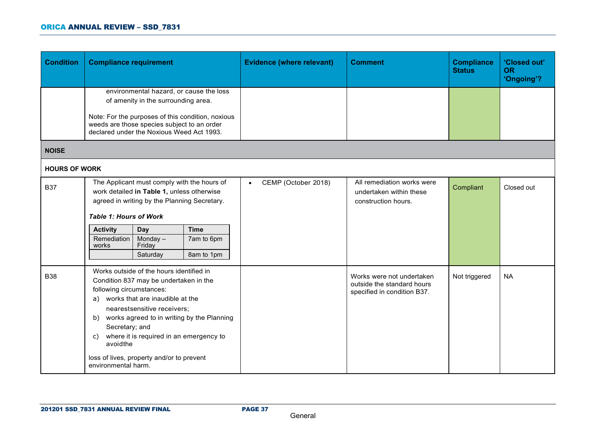| <b>Condition</b>     | <b>Compliance requirement</b>                                                                                                                                                                                                                                                                                                                                                                 |                                                                                                                                 |                                                                                              | <b>Evidence (where relevant)</b>                                                       | <b>Comment</b>                                                               | <b>Compliance</b><br><b>Status</b> | 'Closed out'<br><b>OR</b><br>'Ongoing'? |
|----------------------|-----------------------------------------------------------------------------------------------------------------------------------------------------------------------------------------------------------------------------------------------------------------------------------------------------------------------------------------------------------------------------------------------|---------------------------------------------------------------------------------------------------------------------------------|----------------------------------------------------------------------------------------------|----------------------------------------------------------------------------------------|------------------------------------------------------------------------------|------------------------------------|-----------------------------------------|
|                      |                                                                                                                                                                                                                                                                                                                                                                                               | of amenity in the surrounding area.<br>weeds are those species subject to an order<br>declared under the Noxious Weed Act 1993. | environmental hazard, or cause the loss<br>Note: For the purposes of this condition, noxious |                                                                                        |                                                                              |                                    |                                         |
| <b>NOISE</b>         |                                                                                                                                                                                                                                                                                                                                                                                               |                                                                                                                                 |                                                                                              |                                                                                        |                                                                              |                                    |                                         |
| <b>HOURS OF WORK</b> |                                                                                                                                                                                                                                                                                                                                                                                               |                                                                                                                                 |                                                                                              |                                                                                        |                                                                              |                                    |                                         |
| <b>B37</b>           | <b>Table 1: Hours of Work</b><br><b>Activity</b>                                                                                                                                                                                                                                                                                                                                              | work detailed in Table 1, unless otherwise<br>agreed in writing by the Planning Secretary.<br>Day                               | The Applicant must comply with the hours of<br><b>Time</b>                                   | CEMP (October 2018)<br>$\bullet$                                                       | All remediation works were<br>undertaken within these<br>construction hours. | Compliant                          | Closed out                              |
|                      | Remediation<br>works                                                                                                                                                                                                                                                                                                                                                                          | Monday $-$<br>Friday<br>Saturday                                                                                                | 7am to 6pm<br>8am to 1pm                                                                     |                                                                                        |                                                                              |                                    |                                         |
| <b>B38</b>           | Works outside of the hours identified in<br>Condition 837 may be undertaken in the<br>following circumstances:<br>works that are inaudible at the<br>a)<br>nearestsensitive receivers;<br>works agreed to in writing by the Planning<br>b)<br>Secretary; and<br>where it is required in an emergency to<br>C)<br>avoidthe<br>loss of lives, property and/or to prevent<br>environmental harm. |                                                                                                                                 |                                                                                              | Works were not undertaken<br>outside the standard hours<br>specified in condition B37. | Not triggered                                                                | <b>NA</b>                          |                                         |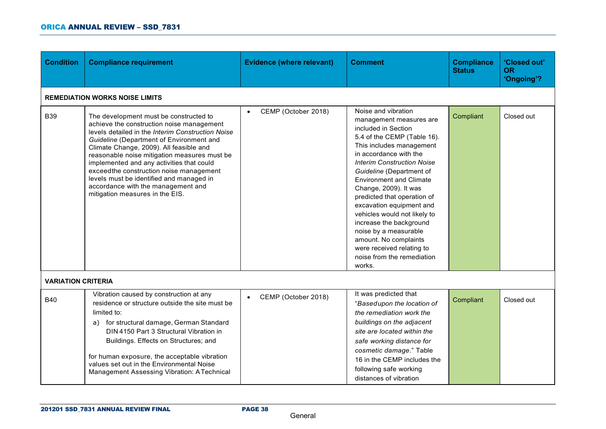| <b>Condition</b>          | <b>Compliance requirement</b>                                                                                                                                                                                                                                                                                                                                                                                                                                                                | <b>Evidence (where relevant)</b> | <b>Comment</b>                                                                                                                                                                                                                                                                                                                                                                                                                                                                                                                      | <b>Compliance</b><br><b>Status</b> | 'Closed out'<br><b>OR</b><br>'Ongoing'? |  |  |  |  |
|---------------------------|----------------------------------------------------------------------------------------------------------------------------------------------------------------------------------------------------------------------------------------------------------------------------------------------------------------------------------------------------------------------------------------------------------------------------------------------------------------------------------------------|----------------------------------|-------------------------------------------------------------------------------------------------------------------------------------------------------------------------------------------------------------------------------------------------------------------------------------------------------------------------------------------------------------------------------------------------------------------------------------------------------------------------------------------------------------------------------------|------------------------------------|-----------------------------------------|--|--|--|--|
|                           | <b>REMEDIATION WORKS NOISE LIMITS</b>                                                                                                                                                                                                                                                                                                                                                                                                                                                        |                                  |                                                                                                                                                                                                                                                                                                                                                                                                                                                                                                                                     |                                    |                                         |  |  |  |  |
| <b>B39</b>                | The development must be constructed to<br>achieve the construction noise management<br>levels detailed in the Interim Construction Noise<br>Guideline (Department of Environment and<br>Climate Change, 2009). All feasible and<br>reasonable noise mitigation measures must be<br>implemented and any activities that could<br>exceedthe construction noise management<br>levels must be identified and managed in<br>accordance with the management and<br>mitigation measures in the EIS. | CEMP (October 2018)              | Noise and vibration<br>management measures are<br>included in Section<br>5.4 of the CEMP (Table 16).<br>This includes management<br>in accordance with the<br><b>Interim Construction Noise</b><br>Guideline (Department of<br><b>Environment and Climate</b><br>Change, 2009). It was<br>predicted that operation of<br>excavation equipment and<br>vehicles would not likely to<br>increase the background<br>noise by a measurable<br>amount. No complaints<br>were received relating to<br>noise from the remediation<br>works. | Compliant                          | Closed out                              |  |  |  |  |
| <b>VARIATION CRITERIA</b> |                                                                                                                                                                                                                                                                                                                                                                                                                                                                                              |                                  |                                                                                                                                                                                                                                                                                                                                                                                                                                                                                                                                     |                                    |                                         |  |  |  |  |
| <b>B40</b>                | Vibration caused by construction at any<br>residence or structure outside the site must be<br>limited to:<br>a) for structural damage, German Standard<br>DIN 4150 Part 3 Structural Vibration in<br>Buildings. Effects on Structures; and<br>for human exposure, the acceptable vibration<br>values set out in the Environmental Noise                                                                                                                                                      | CEMP (October 2018)              | It was predicted that<br>"Basedupon the location of<br>the remediation work the<br>buildings on the adjacent<br>site are located within the<br>safe working distance for<br>cosmetic damage." Table<br>16 in the CEMP includes the<br>following safe working                                                                                                                                                                                                                                                                        | Compliant                          | Closed out                              |  |  |  |  |
|                           | Management Assessing Vibration: ATechnical                                                                                                                                                                                                                                                                                                                                                                                                                                                   |                                  | distances of vibration                                                                                                                                                                                                                                                                                                                                                                                                                                                                                                              |                                    |                                         |  |  |  |  |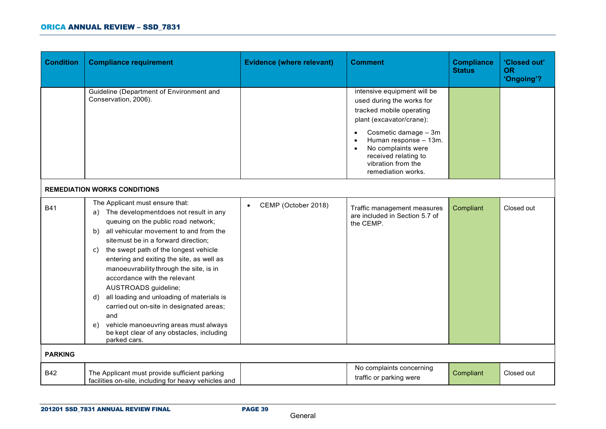| <b>Condition</b> | <b>Compliance requirement</b>                                                                                                                                                                                                                                                                                                                                                                                                                                                                                                                                                                                              | <b>Evidence (where relevant)</b> | <b>Comment</b>                                                                                                                                                                                                                                              | <b>Compliance</b><br><b>Status</b> | 'Closed out'<br><b>OR</b><br>'Ongoing'? |
|------------------|----------------------------------------------------------------------------------------------------------------------------------------------------------------------------------------------------------------------------------------------------------------------------------------------------------------------------------------------------------------------------------------------------------------------------------------------------------------------------------------------------------------------------------------------------------------------------------------------------------------------------|----------------------------------|-------------------------------------------------------------------------------------------------------------------------------------------------------------------------------------------------------------------------------------------------------------|------------------------------------|-----------------------------------------|
|                  | Guideline (Department of Environment and<br>Conservation, 2006).                                                                                                                                                                                                                                                                                                                                                                                                                                                                                                                                                           |                                  | intensive equipment will be<br>used during the works for<br>tracked mobile operating<br>plant (excavator/crane):<br>Cosmetic damage - 3m<br>Human response - 13m.<br>No complaints were<br>received relating to<br>vibration from the<br>remediation works. |                                    |                                         |
|                  | <b>REMEDIATION WORKS CONDITIONS</b>                                                                                                                                                                                                                                                                                                                                                                                                                                                                                                                                                                                        |                                  |                                                                                                                                                                                                                                                             |                                    |                                         |
| <b>B41</b>       | The Applicant must ensure that:<br>a) The developmentdoes not result in any<br>queuing on the public road network;<br>all vehicular movement to and from the<br>b)<br>sitemust be in a forward direction;<br>the swept path of the longest vehicle<br>C)<br>entering and exiting the site, as well as<br>manoeuvrability through the site, is in<br>accordance with the relevant<br>AUSTROADS guideline;<br>all loading and unloading of materials is<br>d)<br>carried out on-site in designated areas;<br>and<br>vehicle manoeuvring areas must always<br>e)<br>be kept clear of any obstacles, including<br>parked cars. | CEMP (October 2018)<br>$\bullet$ | Traffic management measures<br>are included in Section 5.7 of<br>the CEMP.                                                                                                                                                                                  | Compliant                          | Closed out                              |
| <b>PARKING</b>   |                                                                                                                                                                                                                                                                                                                                                                                                                                                                                                                                                                                                                            |                                  |                                                                                                                                                                                                                                                             |                                    |                                         |
| <b>B42</b>       | The Applicant must provide sufficient parking<br>facilities on-site, including for heavy vehicles and                                                                                                                                                                                                                                                                                                                                                                                                                                                                                                                      |                                  | No complaints concerning<br>traffic or parking were                                                                                                                                                                                                         | Compliant                          | Closed out                              |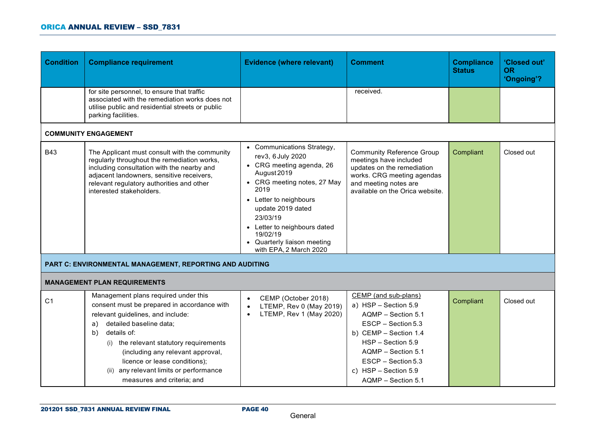| <b>Condition</b> | <b>Compliance requirement</b>                                                                                                                                                                                                                                                                                                                                            | <b>Evidence (where relevant)</b>                                                                                                                                                                                                                                                                  | Comment                                                                                                                                                                                                                            | <b>Compliance</b><br><b>Status</b> | 'Closed out'<br><b>OR</b><br>'Ongoing'? |
|------------------|--------------------------------------------------------------------------------------------------------------------------------------------------------------------------------------------------------------------------------------------------------------------------------------------------------------------------------------------------------------------------|---------------------------------------------------------------------------------------------------------------------------------------------------------------------------------------------------------------------------------------------------------------------------------------------------|------------------------------------------------------------------------------------------------------------------------------------------------------------------------------------------------------------------------------------|------------------------------------|-----------------------------------------|
|                  | for site personnel, to ensure that traffic<br>associated with the remediation works does not<br>utilise public and residential streets or public<br>parking facilities.                                                                                                                                                                                                  |                                                                                                                                                                                                                                                                                                   | received.                                                                                                                                                                                                                          |                                    |                                         |
|                  | <b>COMMUNITY ENGAGEMENT</b>                                                                                                                                                                                                                                                                                                                                              |                                                                                                                                                                                                                                                                                                   |                                                                                                                                                                                                                                    |                                    |                                         |
| <b>B43</b>       | The Applicant must consult with the community<br>regularly throughout the remediation works,<br>including consultation with the nearby and<br>adjacent landowners, sensitive receivers,<br>relevant regulatory authorities and other<br>interested stakeholders.                                                                                                         | • Communications Strategy,<br>rev3, 6 July 2020<br>• CRG meeting agenda, 26<br>August 2019<br>• CRG meeting notes, 27 May<br>2019<br>• Letter to neighbours<br>update 2019 dated<br>23/03/19<br>• Letter to neighbours dated<br>19/02/19<br>• Quarterly liaison meeting<br>with EPA, 2 March 2020 | <b>Community Reference Group</b><br>meetings have included<br>updates on the remediation<br>works. CRG meeting agendas<br>and meeting notes are<br>available on the Orica website.                                                 | Compliant                          | Closed out                              |
|                  | PART C: ENVIRONMENTAL MANAGEMENT, REPORTING AND AUDITING                                                                                                                                                                                                                                                                                                                 |                                                                                                                                                                                                                                                                                                   |                                                                                                                                                                                                                                    |                                    |                                         |
|                  | <b>MANAGEMENT PLAN REQUIREMENTS</b>                                                                                                                                                                                                                                                                                                                                      |                                                                                                                                                                                                                                                                                                   |                                                                                                                                                                                                                                    |                                    |                                         |
| C <sub>1</sub>   | Management plans required under this<br>consent must be prepared in accordance with<br>relevant guidelines, and include:<br>detailed baseline data;<br>a)<br>details of:<br>b)<br>(i) the relevant statutory requirements<br>(including any relevant approval,<br>licence or lease conditions);<br>(ii) any relevant limits or performance<br>measures and criteria; and | CEMP (October 2018)<br>LTEMP, Rev 0 (May 2019)<br>LTEMP, Rev 1 (May 2020)<br>$\bullet$                                                                                                                                                                                                            | CEMP (and sub-plans)<br>a) HSP - Section 5.9<br>AQMP - Section 5.1<br>$ESCP - Section 5.3$<br>b) CEMP - Section 1.4<br>HSP - Section 5.9<br>AQMP - Section 5.1<br>ESCP - Section 5.3<br>c) HSP - Section 5.9<br>AQMP - Section 5.1 | Compliant                          | Closed out                              |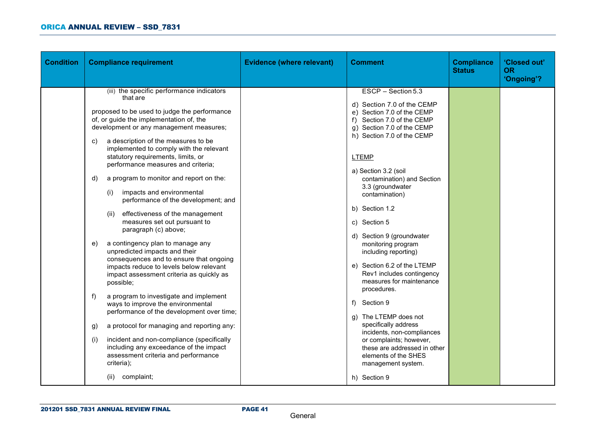| <b>Condition</b><br><b>Compliance requirement</b>                                                                                                                                                                                                                                                                                                                                                                                                                                                                                                                                                                                                                                                                                                                                                                                                                                                                                                                                                                                                                                                                                                                                       | <b>Evidence (where relevant)</b> | <b>Comment</b>                                                                                                                                                                                                                                                                                                                                                                                                                                                                                                                                                                                                                                                                                                                   | <b>Compliance</b><br><b>Status</b> | 'Closed out'<br><b>OR</b><br>'Ongoing'? |
|-----------------------------------------------------------------------------------------------------------------------------------------------------------------------------------------------------------------------------------------------------------------------------------------------------------------------------------------------------------------------------------------------------------------------------------------------------------------------------------------------------------------------------------------------------------------------------------------------------------------------------------------------------------------------------------------------------------------------------------------------------------------------------------------------------------------------------------------------------------------------------------------------------------------------------------------------------------------------------------------------------------------------------------------------------------------------------------------------------------------------------------------------------------------------------------------|----------------------------------|----------------------------------------------------------------------------------------------------------------------------------------------------------------------------------------------------------------------------------------------------------------------------------------------------------------------------------------------------------------------------------------------------------------------------------------------------------------------------------------------------------------------------------------------------------------------------------------------------------------------------------------------------------------------------------------------------------------------------------|------------------------------------|-----------------------------------------|
| (iii) the specific performance indicators<br>that are<br>proposed to be used to judge the performance<br>of, or guide the implementation of, the<br>development or any management measures;<br>a description of the measures to be<br>C)<br>implemented to comply with the relevant<br>statutory requirements, limits, or<br>performance measures and criteria;<br>a program to monitor and report on the:<br>d)<br>impacts and environmental<br>(i)<br>performance of the development; and<br>effectiveness of the management<br>(ii)<br>measures set out pursuant to<br>paragraph (c) above;<br>a contingency plan to manage any<br>e)<br>unpredicted impacts and their<br>consequences and to ensure that ongoing<br>impacts reduce to levels below relevant<br>impact assessment criteria as quickly as<br>possible;<br>a program to investigate and implement<br>f)<br>ways to improve the environmental<br>performance of the development over time;<br>a protocol for managing and reporting any:<br>g)<br>incident and non-compliance (specifically<br>(i)<br>including any exceedance of the impact<br>assessment criteria and performance<br>criteria);<br>complaint;<br>(ii) |                                  | ESCP - Section 5.3<br>d) Section 7.0 of the CEMP<br>e) Section 7.0 of the CEMP<br>f) Section 7.0 of the CEMP<br>q) Section 7.0 of the CEMP<br>h) Section 7.0 of the CEMP<br><b>LTEMP</b><br>a) Section 3.2 (soil<br>contamination) and Section<br>3.3 (groundwater<br>contamination)<br>b) Section 1.2<br>c) Section 5<br>d) Section 9 (groundwater<br>monitoring program<br>including reporting)<br>e) Section 6.2 of the LTEMP<br>Rev1 includes contingency<br>measures for maintenance<br>procedures.<br>f) Section 9<br>g) The LTEMP does not<br>specifically address<br>incidents, non-compliances<br>or complaints; however,<br>these are addressed in other<br>elements of the SHES<br>management system.<br>h) Section 9 |                                    |                                         |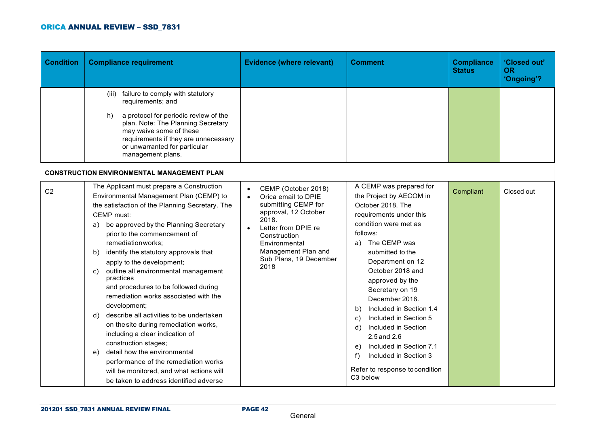| <b>Condition</b> | <b>Compliance requirement</b>                                                                                                                                                                                                                                                                                                                                                                                                                                                                                                                                                                                                                                                                                                                                                                                                   | <b>Evidence (where relevant)</b>                                                                                                                                                                                                 | <b>Comment</b>                                                                                                                                                                                                                                                                                                                                                                                                                                                                                              | <b>Compliance</b><br><b>Status</b> | 'Closed out'<br><b>OR</b><br>'Ongoing'? |
|------------------|---------------------------------------------------------------------------------------------------------------------------------------------------------------------------------------------------------------------------------------------------------------------------------------------------------------------------------------------------------------------------------------------------------------------------------------------------------------------------------------------------------------------------------------------------------------------------------------------------------------------------------------------------------------------------------------------------------------------------------------------------------------------------------------------------------------------------------|----------------------------------------------------------------------------------------------------------------------------------------------------------------------------------------------------------------------------------|-------------------------------------------------------------------------------------------------------------------------------------------------------------------------------------------------------------------------------------------------------------------------------------------------------------------------------------------------------------------------------------------------------------------------------------------------------------------------------------------------------------|------------------------------------|-----------------------------------------|
|                  | failure to comply with statutory<br>(iii)<br>requirements; and<br>a protocol for periodic review of the<br>h)<br>plan. Note: The Planning Secretary<br>may waive some of these<br>requirements if they are unnecessary<br>or unwarranted for particular<br>management plans.<br><b>CONSTRUCTION ENVIRONMENTAL MANAGEMENT PLAN</b>                                                                                                                                                                                                                                                                                                                                                                                                                                                                                               |                                                                                                                                                                                                                                  |                                                                                                                                                                                                                                                                                                                                                                                                                                                                                                             |                                    |                                         |
| C <sub>2</sub>   | The Applicant must prepare a Construction<br>Environmental Management Plan (CEMP) to<br>the satisfaction of the Planning Secretary. The<br><b>CEMP</b> must:<br>a) be approved by the Planning Secretary<br>prior to the commencement of<br>remediationworks;<br>identify the statutory approvals that<br>b)<br>apply to the development;<br>outline all environmental management<br>C)<br>practices<br>and procedures to be followed during<br>remediation works associated with the<br>development;<br>describe all activities to be undertaken<br>d)<br>on the site during remediation works,<br>including a clear indication of<br>construction stages;<br>detail how the environmental<br>e)<br>performance of the remediation works<br>will be monitored, and what actions will<br>be taken to address identified adverse | CEMP (October 2018)<br>Orica email to DPIE<br>submitting CEMP for<br>approval, 12 October<br>2018.<br>Letter from DPIE re<br>$\bullet$<br>Construction<br>Environmental<br>Management Plan and<br>Sub Plans, 19 December<br>2018 | A CEMP was prepared for<br>the Project by AECOM in<br>October 2018. The<br>requirements under this<br>condition were met as<br>follows:<br>The CEMP was<br>a)<br>submitted to the<br>Department on 12<br>October 2018 and<br>approved by the<br>Secretary on 19<br>December 2018.<br>Included in Section 1.4<br>b)<br>Included in Section 5<br>C)<br>Included in Section<br>d)<br>2.5 and 2.6<br>Included in Section 7.1<br>e)<br>f)<br>Included in Section 3<br>Refer to response to condition<br>C3 below | Compliant                          | Closed out                              |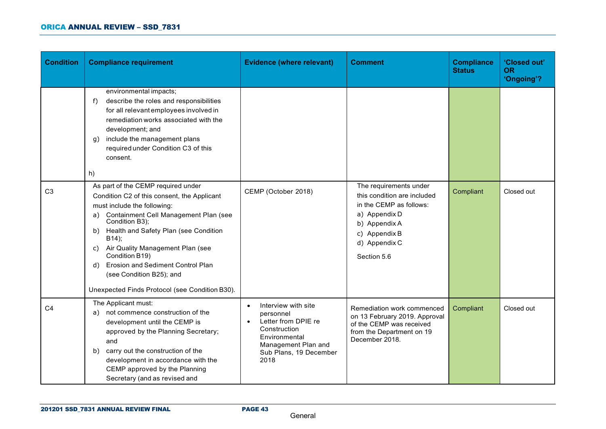| <b>Condition</b> | <b>Compliance requirement</b>                                                                                                                                                                                                                                                                                                                                                                                                   | <b>Evidence (where relevant)</b>                                                                                                                                            | <b>Comment</b>                                                                                                                                                      | <b>Compliance</b><br><b>Status</b> | 'Closed out'<br><b>OR</b><br>'Ongoing'? |
|------------------|---------------------------------------------------------------------------------------------------------------------------------------------------------------------------------------------------------------------------------------------------------------------------------------------------------------------------------------------------------------------------------------------------------------------------------|-----------------------------------------------------------------------------------------------------------------------------------------------------------------------------|---------------------------------------------------------------------------------------------------------------------------------------------------------------------|------------------------------------|-----------------------------------------|
|                  | environmental impacts;<br>describe the roles and responsibilities<br>f)<br>for all relevant employees involved in<br>remediation works associated with the<br>development; and<br>include the management plans<br>q)<br>required under Condition C3 of this<br>consent.<br>h)                                                                                                                                                   |                                                                                                                                                                             |                                                                                                                                                                     |                                    |                                         |
| C <sub>3</sub>   | As part of the CEMP required under<br>Condition C2 of this consent, the Applicant<br>must include the following:<br>a) Containment Cell Management Plan (see<br>Condition B3);<br>Health and Safety Plan (see Condition<br>b)<br>B14);<br>c) Air Quality Management Plan (see<br>Condition B19)<br><b>Erosion and Sediment Control Plan</b><br>d)<br>(see Condition B25); and<br>Unexpected Finds Protocol (see Condition B30). | CEMP (October 2018)                                                                                                                                                         | The requirements under<br>this condition are included<br>in the CEMP as follows:<br>a) Appendix D<br>b) Appendix A<br>c) Appendix B<br>d) Appendix C<br>Section 5.6 | Compliant                          | Closed out                              |
| C <sub>4</sub>   | The Applicant must:<br>not commence construction of the<br>a)<br>development until the CEMP is<br>approved by the Planning Secretary;<br>and<br>carry out the construction of the<br>b)<br>development in accordance with the<br>CEMP approved by the Planning<br>Secretary (and as revised and                                                                                                                                 | Interview with site<br>$\bullet$<br>personnel<br>Letter from DPIE re<br>$\bullet$<br>Construction<br>Environmental<br>Management Plan and<br>Sub Plans, 19 December<br>2018 | Remediation work commenced<br>on 13 February 2019. Approval<br>of the CEMP was received<br>from the Department on 19<br>December 2018.                              | Compliant                          | Closed out                              |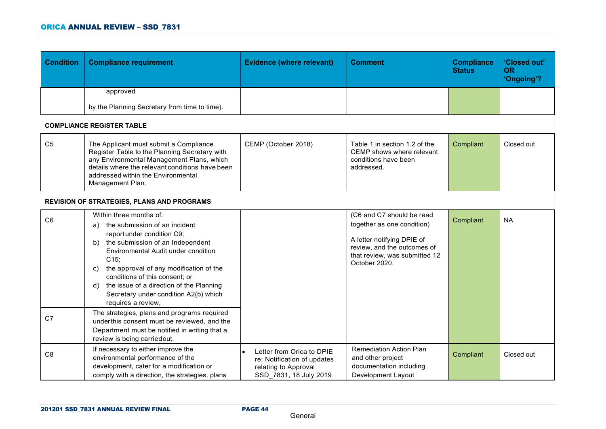| <b>Condition</b>                 | <b>Compliance requirement</b>                                                                                                                                                                                                                                                                                                                                                                                                                                                                                                                                          | <b>Evidence (where relevant)</b>                                                                           | <b>Comment</b>                                                                                                                                                         | <b>Compliance</b><br><b>Status</b> | 'Closed out'<br><b>OR</b><br>'Ongoing'? |
|----------------------------------|------------------------------------------------------------------------------------------------------------------------------------------------------------------------------------------------------------------------------------------------------------------------------------------------------------------------------------------------------------------------------------------------------------------------------------------------------------------------------------------------------------------------------------------------------------------------|------------------------------------------------------------------------------------------------------------|------------------------------------------------------------------------------------------------------------------------------------------------------------------------|------------------------------------|-----------------------------------------|
|                                  | approved                                                                                                                                                                                                                                                                                                                                                                                                                                                                                                                                                               |                                                                                                            |                                                                                                                                                                        |                                    |                                         |
|                                  | by the Planning Secretary from time to time).                                                                                                                                                                                                                                                                                                                                                                                                                                                                                                                          |                                                                                                            |                                                                                                                                                                        |                                    |                                         |
|                                  | <b>COMPLIANCE REGISTER TABLE</b>                                                                                                                                                                                                                                                                                                                                                                                                                                                                                                                                       |                                                                                                            |                                                                                                                                                                        |                                    |                                         |
| C <sub>5</sub>                   | The Applicant must submit a Compliance<br>Register Table to the Planning Secretary with<br>any Environmental Management Plans, which<br>details where the relevant conditions have been<br>addressed within the Environmental<br>Management Plan.                                                                                                                                                                                                                                                                                                                      | CEMP (October 2018)                                                                                        | Table 1 in section 1.2 of the<br>CEMP shows where relevant<br>conditions have been<br>addressed.                                                                       | Compliant                          | Closed out                              |
|                                  | <b>REVISION OF STRATEGIES, PLANS AND PROGRAMS</b>                                                                                                                                                                                                                                                                                                                                                                                                                                                                                                                      |                                                                                                            |                                                                                                                                                                        |                                    |                                         |
| C <sub>6</sub><br>C <sub>7</sub> | Within three months of:<br>the submission of an incident<br>a)<br>reportunder condition C9;<br>the submission of an Independent<br>b)<br>Environmental Audit under condition<br>C15;<br>the approval of any modification of the<br>C)<br>conditions of this consent; or<br>the issue of a direction of the Planning<br>d)<br>Secretary under condition A2(b) which<br>requires a review,<br>The strategies, plans and programs required<br>underthis consent must be reviewed, and the<br>Department must be notified in writing that a<br>review is being carriedout. |                                                                                                            | (C6 and C7 should be read<br>together as one condition)<br>A letter notifying DPIE of<br>review, and the outcomes of<br>that review, was submitted 12<br>October 2020. | Compliant                          | <b>NA</b>                               |
| C <sub>8</sub>                   | If necessary to either improve the<br>environmental performance of the<br>development, cater for a modification or<br>comply with a direction, the strategies, plans                                                                                                                                                                                                                                                                                                                                                                                                   | Letter from Orica to DPIE<br>re: Notification of updates<br>relating to Approval<br>SSD 7831, 18 July 2019 | <b>Remediation Action Plan</b><br>and other project<br>documentation including<br>Development Layout                                                                   | Compliant                          | Closed out                              |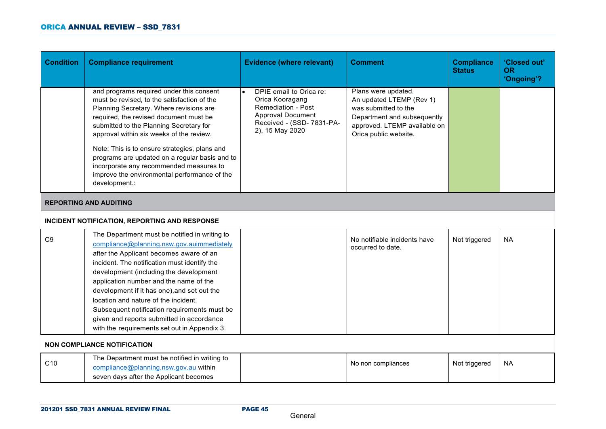| <b>Condition</b>                   | <b>Compliance requirement</b>                                                                                                                                                                                                                                                                                                                                                                                                                                                                                 | <b>Evidence (where relevant)</b>                                                                                                             | <b>Comment</b>                                                                                                                                                  | <b>Compliance</b><br><b>Status</b> | 'Closed out'<br><b>OR</b><br>'Ongoing'? |  |
|------------------------------------|---------------------------------------------------------------------------------------------------------------------------------------------------------------------------------------------------------------------------------------------------------------------------------------------------------------------------------------------------------------------------------------------------------------------------------------------------------------------------------------------------------------|----------------------------------------------------------------------------------------------------------------------------------------------|-----------------------------------------------------------------------------------------------------------------------------------------------------------------|------------------------------------|-----------------------------------------|--|
|                                    | and programs required under this consent<br>must be revised, to the satisfaction of the<br>Planning Secretary. Where revisions are<br>required, the revised document must be<br>submitted to the Planning Secretary for<br>approval within six weeks of the review.<br>Note: This is to ensure strategies, plans and<br>programs are updated on a regular basis and to<br>incorporate any recommended measures to<br>improve the environmental performance of the<br>development.:                            | DPIE email to Orica re:<br>Orica Kooragang<br>Remediation - Post<br><b>Approval Document</b><br>Received - (SSD- 7831-PA-<br>2), 15 May 2020 | Plans were updated.<br>An updated LTEMP (Rev 1)<br>was submitted to the<br>Department and subsequently<br>approved. LTEMP available on<br>Orica public website. |                                    |                                         |  |
| <b>REPORTING AND AUDITING</b>      |                                                                                                                                                                                                                                                                                                                                                                                                                                                                                                               |                                                                                                                                              |                                                                                                                                                                 |                                    |                                         |  |
|                                    | INCIDENT NOTIFICATION, REPORTING AND RESPONSE                                                                                                                                                                                                                                                                                                                                                                                                                                                                 |                                                                                                                                              |                                                                                                                                                                 |                                    |                                         |  |
| C <sub>9</sub>                     | The Department must be notified in writing to<br>compliance@planning.nsw.gov.auimmediately<br>after the Applicant becomes aware of an<br>incident. The notification must identify the<br>development (including the development<br>application number and the name of the<br>development if it has one), and set out the<br>location and nature of the incident.<br>Subsequent notification requirements must be<br>given and reports submitted in accordance<br>with the requirements set out in Appendix 3. |                                                                                                                                              | No notifiable incidents have<br>occurred to date.                                                                                                               | Not triggered                      | <b>NA</b>                               |  |
| <b>NON COMPLIANCE NOTIFICATION</b> |                                                                                                                                                                                                                                                                                                                                                                                                                                                                                                               |                                                                                                                                              |                                                                                                                                                                 |                                    |                                         |  |
| C10                                | The Department must be notified in writing to<br>compliance@planning.nsw.gov.au within<br>seven days after the Applicant becomes                                                                                                                                                                                                                                                                                                                                                                              |                                                                                                                                              | No non compliances                                                                                                                                              | Not triggered                      | <b>NA</b>                               |  |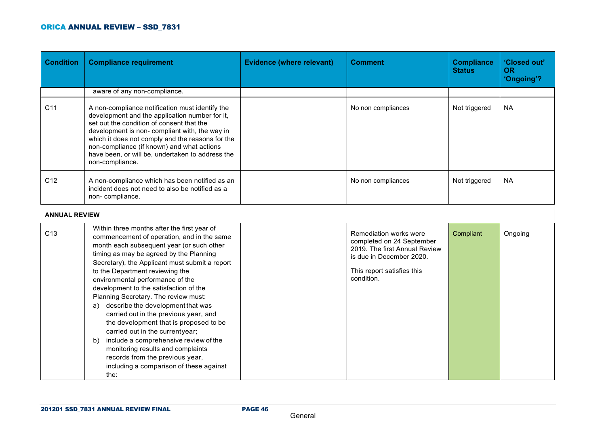| <b>Condition</b>     | <b>Compliance requirement</b>                                                                                                                                                                                                                                                                                                                                                                                                                                                                                                                                                                                                                                                                                                        | <b>Evidence (where relevant)</b> | <b>Comment</b>                                                                                                                                               | <b>Compliance</b><br><b>Status</b> | 'Closed out'<br><b>OR</b><br>'Ongoing'? |
|----------------------|--------------------------------------------------------------------------------------------------------------------------------------------------------------------------------------------------------------------------------------------------------------------------------------------------------------------------------------------------------------------------------------------------------------------------------------------------------------------------------------------------------------------------------------------------------------------------------------------------------------------------------------------------------------------------------------------------------------------------------------|----------------------------------|--------------------------------------------------------------------------------------------------------------------------------------------------------------|------------------------------------|-----------------------------------------|
|                      | aware of any non-compliance.                                                                                                                                                                                                                                                                                                                                                                                                                                                                                                                                                                                                                                                                                                         |                                  |                                                                                                                                                              |                                    |                                         |
| C <sub>11</sub>      | A non-compliance notification must identify the<br>development and the application number for it,<br>set out the condition of consent that the<br>development is non- compliant with, the way in<br>which it does not comply and the reasons for the<br>non-compliance (if known) and what actions<br>have been, or will be, undertaken to address the<br>non-compliance.                                                                                                                                                                                                                                                                                                                                                            |                                  | No non compliances                                                                                                                                           | Not triggered                      | <b>NA</b>                               |
| C <sub>12</sub>      | A non-compliance which has been notified as an<br>incident does not need to also be notified as a<br>non-compliance.                                                                                                                                                                                                                                                                                                                                                                                                                                                                                                                                                                                                                 |                                  | No non compliances                                                                                                                                           | Not triggered                      | <b>NA</b>                               |
| <b>ANNUAL REVIEW</b> |                                                                                                                                                                                                                                                                                                                                                                                                                                                                                                                                                                                                                                                                                                                                      |                                  |                                                                                                                                                              |                                    |                                         |
| C <sub>13</sub>      | Within three months after the first year of<br>commencement of operation, and in the same<br>month each subsequent year (or such other<br>timing as may be agreed by the Planning<br>Secretary), the Applicant must submit a report<br>to the Department reviewing the<br>environmental performance of the<br>development to the satisfaction of the<br>Planning Secretary. The review must:<br>a) describe the development that was<br>carried out in the previous year, and<br>the development that is proposed to be<br>carried out in the currentyear;<br>include a comprehensive review of the<br>b)<br>monitoring results and complaints<br>records from the previous year,<br>including a comparison of these against<br>the: |                                  | Remediation works were<br>completed on 24 September<br>2019. The first Annual Review<br>is due in December 2020.<br>This report satisfies this<br>condition. | Compliant                          | Ongoing                                 |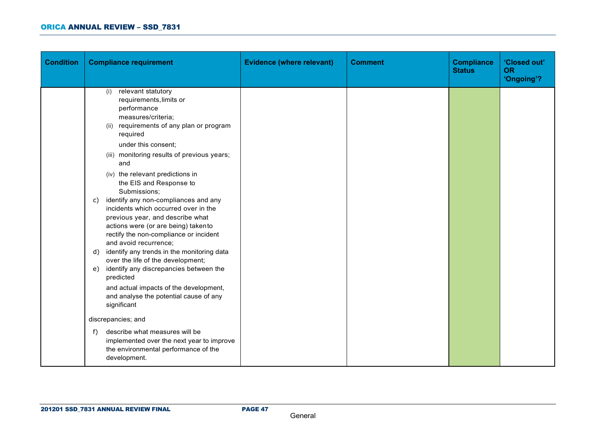| <b>Condition</b> | <b>Compliance requirement</b>                                                                                                                                                                                                                                                                                                                                                                                                                                                                                                                                                                                                                                                                                                                                                                           | <b>Evidence (where relevant)</b> | <b>Comment</b> | <b>Compliance</b><br><b>Status</b> | 'Closed out'<br><b>OR</b><br>'Ongoing'? |
|------------------|---------------------------------------------------------------------------------------------------------------------------------------------------------------------------------------------------------------------------------------------------------------------------------------------------------------------------------------------------------------------------------------------------------------------------------------------------------------------------------------------------------------------------------------------------------------------------------------------------------------------------------------------------------------------------------------------------------------------------------------------------------------------------------------------------------|----------------------------------|----------------|------------------------------------|-----------------------------------------|
|                  | (i) relevant statutory<br>requirements, limits or<br>performance<br>measures/criteria;<br>(ii) requirements of any plan or program<br>required<br>under this consent;<br>(iii) monitoring results of previous years;<br>and<br>(iv) the relevant predictions in<br>the EIS and Response to<br>Submissions;<br>identify any non-compliances and any<br>C)<br>incidents which occurred over in the<br>previous year, and describe what<br>actions were (or are being) takento<br>rectify the non-compliance or incident<br>and avoid recurrence;<br>identify any trends in the monitoring data<br>d)<br>over the life of the development;<br>identify any discrepancies between the<br>e)<br>predicted<br>and actual impacts of the development,<br>and analyse the potential cause of any<br>significant |                                  |                |                                    |                                         |
|                  | discrepancies; and                                                                                                                                                                                                                                                                                                                                                                                                                                                                                                                                                                                                                                                                                                                                                                                      |                                  |                |                                    |                                         |
|                  | describe what measures will be<br>f)<br>implemented over the next year to improve<br>the environmental performance of the<br>development.                                                                                                                                                                                                                                                                                                                                                                                                                                                                                                                                                                                                                                                               |                                  |                |                                    |                                         |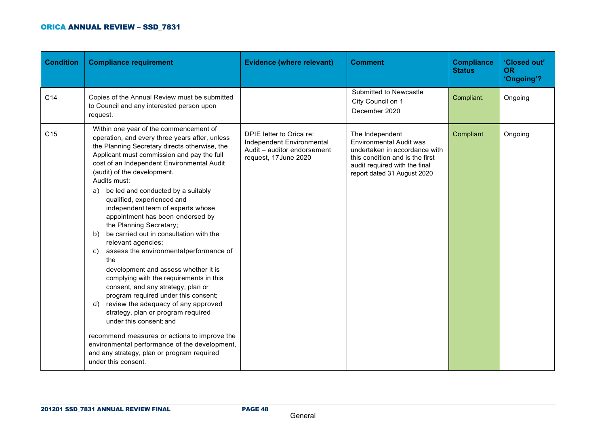| <b>Condition</b> | <b>Compliance requirement</b>                                                                                                                                                                                                                                                                                                                                                                                                                                                                                                                                                                                                                                                                                                                                                                                                                                                                                                                                                                                                                      | <b>Evidence (where relevant)</b>                                                                              | <b>Comment</b>                                                                                                                                                                        | <b>Compliance</b><br><b>Status</b> | 'Closed out'<br><b>OR</b><br>'Ongoing'? |
|------------------|----------------------------------------------------------------------------------------------------------------------------------------------------------------------------------------------------------------------------------------------------------------------------------------------------------------------------------------------------------------------------------------------------------------------------------------------------------------------------------------------------------------------------------------------------------------------------------------------------------------------------------------------------------------------------------------------------------------------------------------------------------------------------------------------------------------------------------------------------------------------------------------------------------------------------------------------------------------------------------------------------------------------------------------------------|---------------------------------------------------------------------------------------------------------------|---------------------------------------------------------------------------------------------------------------------------------------------------------------------------------------|------------------------------------|-----------------------------------------|
| C <sub>14</sub>  | Copies of the Annual Review must be submitted<br>to Council and any interested person upon<br>request.                                                                                                                                                                                                                                                                                                                                                                                                                                                                                                                                                                                                                                                                                                                                                                                                                                                                                                                                             |                                                                                                               | Submitted to Newcastle<br>City Council on 1<br>December 2020                                                                                                                          | Compliant.                         | Ongoing                                 |
| C <sub>15</sub>  | Within one year of the commencement of<br>operation, and every three years after, unless<br>the Planning Secretary directs otherwise, the<br>Applicant must commission and pay the full<br>cost of an Independent Environmental Audit<br>(audit) of the development.<br>Audits must:<br>be led and conducted by a suitably<br>a)<br>qualified, experienced and<br>independent team of experts whose<br>appointment has been endorsed by<br>the Planning Secretary;<br>be carried out in consultation with the<br>b)<br>relevant agencies;<br>c) assess the environmentalperformance of<br>the<br>development and assess whether it is<br>complying with the requirements in this<br>consent, and any strategy, plan or<br>program required under this consent;<br>review the adequacy of any approved<br>d)<br>strategy, plan or program required<br>under this consent; and<br>recommend measures or actions to improve the<br>environmental performance of the development,<br>and any strategy, plan or program required<br>under this consent. | DPIE letter to Orica re:<br>Independent Environmental<br>Audit - auditor endorsement<br>request, 17 June 2020 | The Independent<br><b>Environmental Audit was</b><br>undertaken in accordance with<br>this condition and is the first<br>audit required with the final<br>report dated 31 August 2020 | Compliant                          | Ongoing                                 |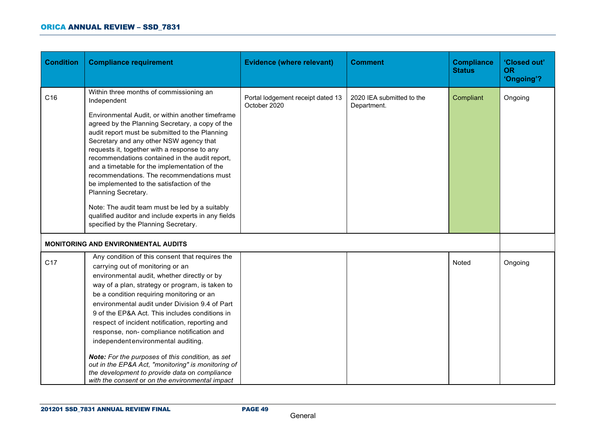| <b>Condition</b> | <b>Compliance requirement</b>                                                                                                                                                                                                                                                                                                                                                                                                                                                                                                                                                                                                                                                                | <b>Evidence (where relevant)</b>                  | <b>Comment</b>                           | <b>Compliance</b><br><b>Status</b> | 'Closed out'<br><b>OR</b><br>'Ongoing'? |
|------------------|----------------------------------------------------------------------------------------------------------------------------------------------------------------------------------------------------------------------------------------------------------------------------------------------------------------------------------------------------------------------------------------------------------------------------------------------------------------------------------------------------------------------------------------------------------------------------------------------------------------------------------------------------------------------------------------------|---------------------------------------------------|------------------------------------------|------------------------------------|-----------------------------------------|
| C16              | Within three months of commissioning an<br>Independent<br>Environmental Audit, or within another timeframe<br>agreed by the Planning Secretary, a copy of the<br>audit report must be submitted to the Planning<br>Secretary and any other NSW agency that<br>requests it, together with a response to any<br>recommendations contained in the audit report,<br>and a timetable for the implementation of the<br>recommendations. The recommendations must<br>be implemented to the satisfaction of the<br>Planning Secretary.<br>Note: The audit team must be led by a suitably<br>qualified auditor and include experts in any fields<br>specified by the Planning Secretary.              | Portal lodgement receipt dated 13<br>October 2020 | 2020 IEA submitted to the<br>Department. | Compliant                          | Ongoing                                 |
|                  | <b>MONITORING AND ENVIRONMENTAL AUDITS</b>                                                                                                                                                                                                                                                                                                                                                                                                                                                                                                                                                                                                                                                   |                                                   |                                          |                                    |                                         |
| C <sub>17</sub>  | Any condition of this consent that requires the<br>carrying out of monitoring or an<br>environmental audit, whether directly or by<br>way of a plan, strategy or program, is taken to<br>be a condition requiring monitoring or an<br>environmental audit under Division 9.4 of Part<br>9 of the EP&A Act. This includes conditions in<br>respect of incident notification, reporting and<br>response, non- compliance notification and<br>independent environmental auditing.<br>Note: For the purposes of this condition, as set<br>out in the EP&A Act, "monitoring" is monitoring of<br>the development to provide data on compliance<br>with the consent or on the environmental impact |                                                   |                                          | Noted                              | Ongoing                                 |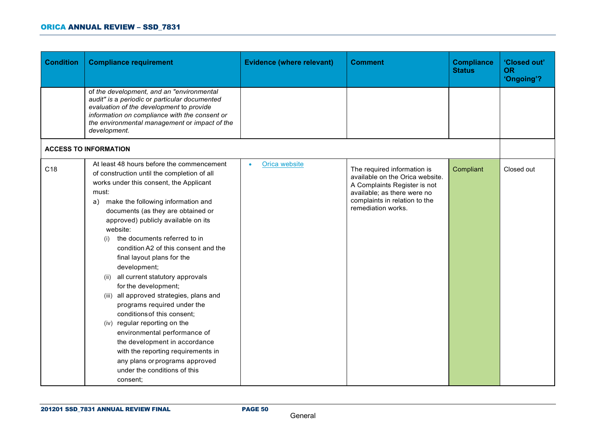| <b>Condition</b> | <b>Compliance requirement</b>                                                                                                                                                                                                                                                                                                                                                                                                                                                                                                                                                                                                                                                                                                                                                                                  | <b>Evidence (where relevant)</b> | <b>Comment</b>                                                                                                                                                                       | <b>Compliance</b><br><b>Status</b> | 'Closed out'<br><b>OR</b><br>'Ongoing'? |
|------------------|----------------------------------------------------------------------------------------------------------------------------------------------------------------------------------------------------------------------------------------------------------------------------------------------------------------------------------------------------------------------------------------------------------------------------------------------------------------------------------------------------------------------------------------------------------------------------------------------------------------------------------------------------------------------------------------------------------------------------------------------------------------------------------------------------------------|----------------------------------|--------------------------------------------------------------------------------------------------------------------------------------------------------------------------------------|------------------------------------|-----------------------------------------|
|                  | of the development, and an "environmental<br>audit" is a periodic or particular documented<br>evaluation of the development to provide<br>information on compliance with the consent or<br>the environmental management or impact of the<br>development.                                                                                                                                                                                                                                                                                                                                                                                                                                                                                                                                                       |                                  |                                                                                                                                                                                      |                                    |                                         |
|                  | <b>ACCESS TO INFORMATION</b>                                                                                                                                                                                                                                                                                                                                                                                                                                                                                                                                                                                                                                                                                                                                                                                   |                                  |                                                                                                                                                                                      |                                    |                                         |
| C <sub>18</sub>  | At least 48 hours before the commencement<br>of construction until the completion of all<br>works under this consent, the Applicant<br>must:<br>make the following information and<br>a)<br>documents (as they are obtained or<br>approved) publicly available on its<br>website:<br>the documents referred to in<br>(i)<br>condition A2 of this consent and the<br>final layout plans for the<br>development;<br>(ii) all current statutory approvals<br>for the development;<br>(iii) all approved strategies, plans and<br>programs required under the<br>conditions of this consent;<br>(iv) regular reporting on the<br>environmental performance of<br>the development in accordance<br>with the reporting requirements in<br>any plans or programs approved<br>under the conditions of this<br>consent; | Orica website<br>$\bullet$       | The required information is<br>available on the Orica website.<br>A Complaints Register is not<br>available; as there were no<br>complaints in relation to the<br>remediation works. | Compliant                          | Closed out                              |